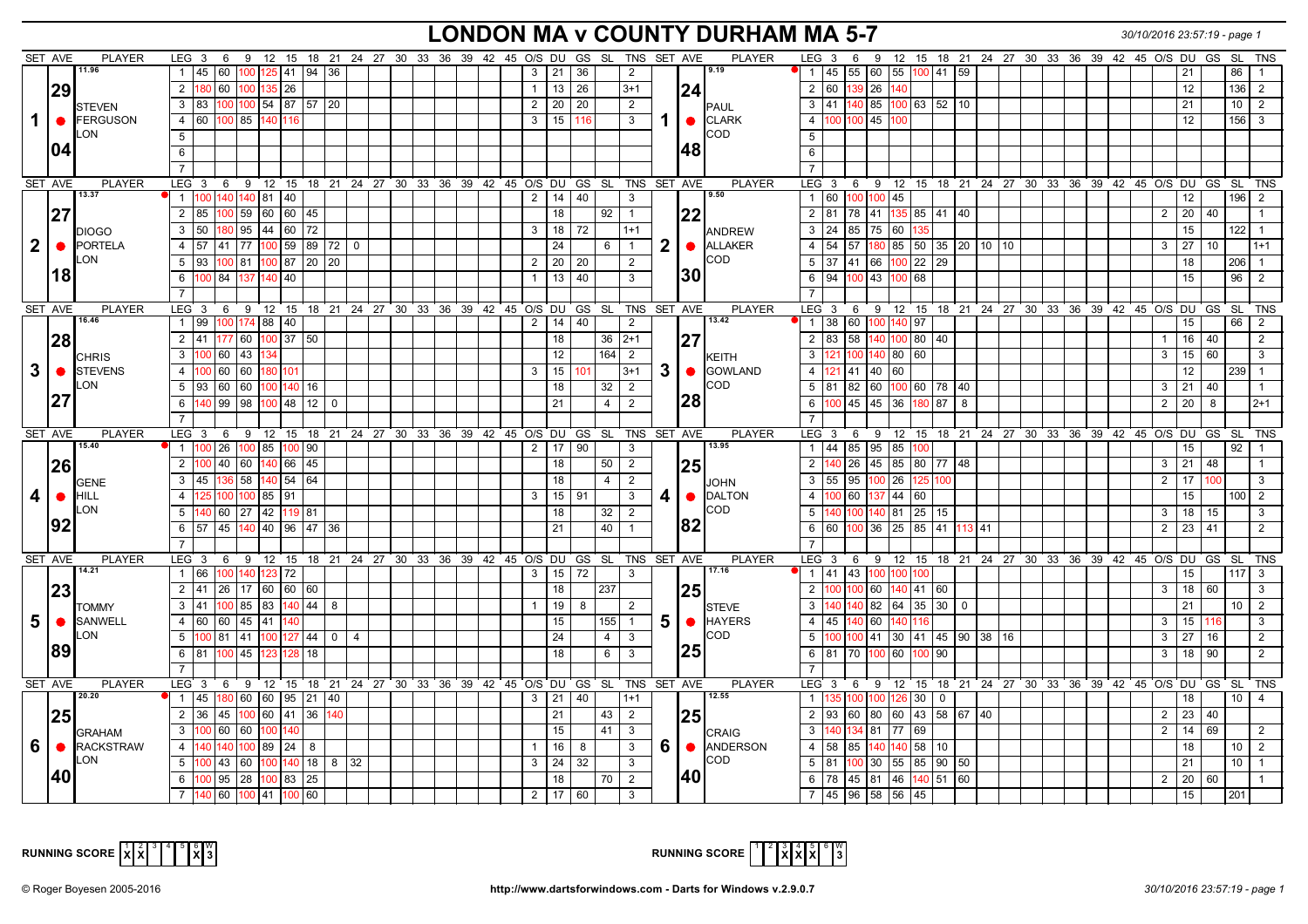### **LONDON MA v COUNTY DURHAM MA 5-7** *30/10/2016 23:57:19 - page 1*

|              | SET AVE   | <b>PLAYER</b>          | LEG <sub>3</sub>                                                       | 6                                |       |                 |              |            |  |  |  |                |                 | 9 12 15 18 21 24 27 30 33 36 39 42 45 O/S DU GS SL TNS SET AVE         |                |  |           | <b>PLAYER</b>             | LEG <sub>3</sub> | 6                                                             |               |          |                    |                             | 9 12 15 18 21 24 27 30 33 36 39 42 45 O/S DU GS                                   |  |  |                |                             |                 |                  | SL TNS         |
|--------------|-----------|------------------------|------------------------------------------------------------------------|----------------------------------|-------|-----------------|--------------|------------|--|--|--|----------------|-----------------|------------------------------------------------------------------------|----------------|--|-----------|---------------------------|------------------|---------------------------------------------------------------|---------------|----------|--------------------|-----------------------------|-----------------------------------------------------------------------------------|--|--|----------------|-----------------------------|-----------------|------------------|----------------|
|              |           | 11.96                  |                                                                        | 45   60   100   125   41         |       |                 | $94 \mid 36$ |            |  |  |  | 3              | 21              | 36                                                                     | $\overline{2}$ |  |           | 9.19                      |                  | $1 \mid 45 \mid 55 \mid 60 \mid 55 \mid$                      |               |          |                    | $100$ 41 59                 |                                                                                   |  |  |                | 21                          |                 | 86               |                |
|              | 29        |                        | $2^{\circ}$                                                            | 180 60 100 135 26                |       |                 |              |            |  |  |  | $\mathbf{1}$   | 13              | 26                                                                     | $3 + 1$        |  | 24        |                           | 2 60             |                                                               | 139 26 140    |          |                    |                             |                                                                                   |  |  |                | 12                          |                 |                  | $136$ 2        |
|              |           | <b>STEVEN</b>          | 3   83   100   100   54   87   57   20                                 |                                  |       |                 |              |            |  |  |  | 2              | 20              | 20                                                                     | 2              |  |           | <b>I</b> PAUL             |                  | $3 \mid 41 \mid 140 \mid 85 \mid 100 \mid 63 \mid 52 \mid 10$ |               |          |                    |                             |                                                                                   |  |  |                | 21                          |                 | 10 <sup>1</sup>  | $\overline{2}$ |
|              | $\bullet$ | <b>FERGUSON</b>        | 4 60 100 85 140 116                                                    |                                  |       |                 |              |            |  |  |  | $\mathbf{3}$   | 15              | 116                                                                    | $\mathbf{3}$   |  |           | $\bullet$ $\bullet$ CLARK |                  | 4 100 100 45 100                                              |               |          |                    |                             |                                                                                   |  |  |                | 12                          |                 |                  | $156$ 3        |
|              |           | ON.                    | 5                                                                      |                                  |       |                 |              |            |  |  |  |                |                 |                                                                        |                |  |           | ICOD.                     | $5^{\circ}$      |                                                               |               |          |                    |                             |                                                                                   |  |  |                |                             |                 |                  |                |
|              | 104       |                        | 6                                                                      |                                  |       |                 |              |            |  |  |  |                |                 |                                                                        |                |  | 48        |                           | 6                |                                                               |               |          |                    |                             |                                                                                   |  |  |                |                             |                 |                  |                |
|              |           |                        |                                                                        |                                  |       |                 |              |            |  |  |  |                |                 |                                                                        |                |  |           |                           |                  |                                                               |               |          |                    |                             |                                                                                   |  |  |                |                             |                 |                  |                |
|              |           |                        |                                                                        |                                  |       |                 |              |            |  |  |  |                |                 |                                                                        |                |  |           |                           | $\overline{7}$   |                                                               |               |          |                    |                             |                                                                                   |  |  |                |                             |                 |                  |                |
|              | SET AVE   | <b>PLAYER</b><br>13.37 | LEG 3 6 9 12 15 18 21 24 27 30 33 36 39 42 45 O/S DU GS SL TNS SET AVE |                                  |       |                 |              |            |  |  |  |                |                 |                                                                        |                |  |           | <b>PLAYER</b><br>9.50     |                  |                                                               |               |          |                    |                             | LEG 3  6  9  12  15  18  21  24  27  30  33  36  39  42  45  O/S  DU  GS  SL  TNS |  |  |                |                             |                 |                  |                |
|              |           |                        | $\overline{1}$<br>100                                                  | 140 140 81 40                    |       |                 |              |            |  |  |  | $\overline{2}$ | 14              | 40                                                                     | $\mathbf{3}$   |  |           |                           |                  | $1$ 60 100 100 45                                             |               |          |                    |                             |                                                                                   |  |  |                | 12                          |                 | 196              | $\overline{2}$ |
|              | 27        |                        | $\overline{2}$<br>85                                                   | 100 59                           |       | 60 60 45        |              |            |  |  |  |                | 18              | 92                                                                     | $\overline{1}$ |  | 22        |                           | $2$ 81           |                                                               | 78   41   135 |          |                    | 85 41 40                    |                                                                                   |  |  | $\overline{2}$ | 20                          | 40              |                  |                |
|              |           | <b>DIOGO</b>           | $\mathbf{3}$                                                           | 50 180 95 44 60 72               |       |                 |              |            |  |  |  | 3              | 18 <sup>1</sup> | 72                                                                     | $1+1$          |  |           | <b>ANDREW</b>             |                  | $3 \mid 24 \mid 85 \mid 75 \mid 60$                           |               |          | 135                |                             |                                                                                   |  |  |                | 15                          |                 |                  | 122   1        |
| $\mathbf{2}$ | $\bullet$ | <b>PORTELA</b>         | 4 57 41 77 100 59 89 72 0                                              |                                  |       |                 |              |            |  |  |  |                | 24              | 6                                                                      | $\overline{1}$ |  |           | <b>ALLAKER</b>            |                  | 4 54 57                                                       |               |          |                    | $180$ 85 50 35 20 10 10     |                                                                                   |  |  |                | 27<br>3                     | 10 <sup>1</sup> |                  | $1+1$          |
|              |           | _ON                    | 5 <sup>5</sup>                                                         | 93  100   81  100   87   20   20 |       |                 |              |            |  |  |  | $\overline{2}$ | 20              | 20                                                                     | $\overline{2}$ |  |           | ICOD.                     | $5 \mid 37$      |                                                               |               |          | $141$ 66 100 22 29 |                             |                                                                                   |  |  |                | 18                          |                 | $206$   1        |                |
|              | 18        |                        | 6                                                                      | 100 84 137 140 40                |       |                 |              |            |  |  |  | $\mathbf{1}$   | 13              | 40                                                                     | $\mathbf{3}$   |  | l30       |                           |                  | $6$ 94 100 43 100 68                                          |               |          |                    |                             |                                                                                   |  |  |                | 15                          |                 | 96               | $\overline{2}$ |
|              |           |                        |                                                                        |                                  |       |                 |              |            |  |  |  |                |                 |                                                                        |                |  |           |                           | $\overline{7}$   |                                                               |               |          |                    |                             |                                                                                   |  |  |                |                             |                 |                  |                |
|              | SET AVE   | PLAYER                 | LEG 3 6 9 12 15 18 21 24 27 30 33 36 39 42 45 O/S DU GS SL TNS SET AVE |                                  |       |                 |              |            |  |  |  |                |                 |                                                                        |                |  |           | <b>PLAYER</b>             |                  |                                                               |               |          |                    |                             | LEG 3 6 9 12 15 18 21 24 27 30 33 36 39 42 45 O/S DU GS SL TNS                    |  |  |                |                             |                 |                  |                |
|              |           | 16.46                  | 1  99  100  174   88   40                                              |                                  |       |                 |              |            |  |  |  | $\overline{2}$ | 14              | 40                                                                     | $\overline{2}$ |  |           | 13.42                     |                  | 1 38 60 100 140 97                                            |               |          |                    |                             |                                                                                   |  |  |                | 15                          |                 | 66               | 2              |
|              | 28        |                        | $2 \mid 41 \mid 177 \mid 60$                                           |                                  |       | $100$ 37 50     |              |            |  |  |  |                | 18              | 36                                                                     | $2+1$          |  | <b>27</b> |                           | $2 \mid 83$      | 58                                                            |               |          | 140 100 80 40      |                             |                                                                                   |  |  |                | 16                          | 40              |                  | 2              |
|              |           | <b>CHRIS</b>           | 3<br>100                                                               | 60 43                            | 134   |                 |              |            |  |  |  |                | 12              | 164                                                                    | 2              |  |           | <b>I</b> KEITH            | 3                | 100                                                           |               | 140 80   | 60                 |                             |                                                                                   |  |  |                | 15                          | 60              |                  | 3              |
| 3            | $\bullet$ | <b>STEVENS</b>         | $\overline{4}$                                                         | 100 60 60 180 101                |       |                 |              |            |  |  |  | 3              | 15              | 101                                                                    | $3 + 1$        |  |           | 3 <b>6</b> GOWLAND        | $4 \mid$         | 121   41   40   60                                            |               |          |                    |                             |                                                                                   |  |  |                | 12                          |                 | 239              |                |
|              |           | LON                    | 5 <sup>5</sup>                                                         | 93  60  60                       |       | 100 140 16      |              |            |  |  |  |                | 18              | 32                                                                     | 2              |  |           | ICOD.                     | $5 \mid 81$      | 82                                                            |               |          |                    | 60   100   60   78   40     |                                                                                   |  |  | 3              | 21                          | 40              |                  |                |
|              | 27        |                        | 6                                                                      | 140 99 98                        |       | $100$ 48 12 0   |              |            |  |  |  |                | 21              | $\overline{4}$                                                         | 2              |  | l28       |                           | 6 <sup>1</sup>   | 100 45 45 36 180 87 8                                         |               |          |                    |                             |                                                                                   |  |  |                | <b>20</b><br>$\overline{2}$ | 8               |                  | l 2+1          |
|              |           |                        | $\overline{7}$                                                         |                                  |       |                 |              |            |  |  |  |                |                 |                                                                        |                |  |           |                           | $\overline{7}$   |                                                               |               |          |                    |                             |                                                                                   |  |  |                |                             |                 |                  |                |
|              |           |                        |                                                                        |                                  |       |                 |              |            |  |  |  |                |                 |                                                                        |                |  |           |                           |                  |                                                               |               |          |                    |                             |                                                                                   |  |  |                |                             |                 |                  |                |
|              |           |                        |                                                                        |                                  |       |                 |              |            |  |  |  |                |                 |                                                                        |                |  |           |                           |                  |                                                               |               |          |                    |                             |                                                                                   |  |  |                |                             |                 |                  |                |
|              | SET AVE   | <b>PLAYER</b><br>15.40 | $LEG$ 3<br>100<br>$\overline{1}$                                       | 26 100 85 100 90                 |       |                 |              |            |  |  |  | $\overline{2}$ | 17              | 6 9 12 15 18 21 24 27 30 33 36 39 42 45 O/S DU GS SL TNS SET AVE<br>90 | 3              |  |           | <b>PLAYER</b><br>13.95    | LEG <sub>3</sub> | - 6<br>1 44 85 95 85                                          |               |          | 100                |                             | 9 12 15 18 21 24 27 30 33 36 39 42 45 O/S DU GS SL TNS                            |  |  |                | 15                          |                 | 92               |                |
|              |           |                        |                                                                        |                                  |       |                 |              |            |  |  |  |                |                 |                                                                        |                |  |           |                           |                  | $2 \cdot 140 \cdot 26$                                        |               |          |                    |                             |                                                                                   |  |  | 3              |                             |                 |                  |                |
|              | 26        |                        | $2 \mid 100 \mid 40 \mid 60$                                           |                                  |       | 140 66 45       |              |            |  |  |  |                | 18              | 50                                                                     | 2              |  | 25        |                           |                  |                                                               |               |          |                    | 45 85 80 77 48              |                                                                                   |  |  |                | 21                          | 48              |                  |                |
|              |           | <b>GENE</b>            | 3<br>l 45                                                              | 136 58                           |       | 140 54 64       |              |            |  |  |  |                | 18              | 4                                                                      | 2              |  |           | Ijohn                     | $3 \mid 55$      | 95                                                            |               | $100$ 26 | 125                | 100                         |                                                                                   |  |  | $\overline{2}$ | 17                          | 100             |                  | 3              |
| 4            | $\bullet$ | <b>HILL</b>            | $\overline{4}$<br>125                                                  | 100 100 85 91                    |       |                 |              |            |  |  |  | 3              | 15              | 91                                                                     | $\mathbf{3}$   |  |           | <b>O</b> DALTON           | $\overline{4}$   | 60                                                            |               | 137 44   | 60                 |                             |                                                                                   |  |  |                | 15                          |                 | 100 <sub>l</sub> | $\overline{2}$ |
|              |           | LON                    | 5                                                                      | 140 60 27 42 119 81              |       |                 |              |            |  |  |  |                | 18              | 32                                                                     | 2              |  |           | ICOD.                     | 5 <sup>5</sup>   | 140 100 140   81   25   15                                    |               |          |                    |                             |                                                                                   |  |  | 3              | 18                          | 15              |                  | 3              |
|              | 92        |                        | 6                                                                      | 57 45 140 40 96 47 36            |       |                 |              |            |  |  |  |                | 21              | 40                                                                     |                |  | 182       |                           |                  | $6$ 60 100 36 25 85 41 13 41                                  |               |          |                    |                             |                                                                                   |  |  |                | 23<br>2                     | 41              |                  | $\mathcal{P}$  |
|              |           |                        | $\overline{7}$                                                         |                                  |       |                 |              |            |  |  |  |                |                 |                                                                        |                |  |           |                           | $\overline{7}$   |                                                               |               |          |                    |                             |                                                                                   |  |  |                |                             |                 |                  |                |
|              | SET AVE   | <b>PLAYER</b><br>14.21 | LEG 3                                                                  |                                  |       |                 |              |            |  |  |  |                |                 | 6 9 12 15 18 21 24 27 30 33 36 39 42 45 O/S DU GS SL TNS SET AVE       |                |  |           | <b>PLAYER</b><br>17.16    |                  |                                                               |               |          |                    |                             | LEG 3 6 9 12 15 18 21 24 27 30 33 36 39 42 45 O/S DU GS SL TNS                    |  |  |                |                             |                 |                  |                |
|              |           |                        | $\mathbf{1}$                                                           | 66   100   140   123   72        |       |                 |              |            |  |  |  | $\mathbf{3}$   | 15              | 72                                                                     | $\mathbf{3}$   |  |           |                           |                  | 1 41 43 100 100 100                                           |               |          |                    |                             |                                                                                   |  |  |                | 15                          |                 | $117$ 3          |                |
|              | 23        |                        | 2 41 26 17 60 60 60                                                    |                                  |       |                 |              |            |  |  |  |                | 18              | 237                                                                    |                |  | <b>25</b> |                           | 2 <sup>1</sup>   |                                                               |               |          | 100 60 140 41 60   |                             |                                                                                   |  |  | 3              | 18                          | 60              |                  | 3              |
|              |           | <b>TOMMY</b>           | $\mathbf{3}$                                                           | 41  100   85   83   140   44     |       |                 | 8            |            |  |  |  |                | 19              | 8                                                                      | 2              |  |           | <b>I</b> STEVE            | 3 140            |                                                               |               |          |                    | 140   82   64   35   30   0 |                                                                                   |  |  |                | 21                          |                 | 10 <sup>°</sup>  | $\overline{2}$ |
| 5            |           | SANWELL                | 4 60 60 45 41 40                                                       |                                  |       |                 |              |            |  |  |  |                | 15              | 155                                                                    | $\overline{1}$ |  |           | 5 <b>6</b> HAYERS         |                  | 4 45 140 60 140 116                                           |               |          |                    |                             |                                                                                   |  |  | 3              | 15                          | 116             |                  | 3              |
|              |           | LON                    | 5 100 81 41 100 127 44                                                 |                                  |       |                 |              | $0 \mid 4$ |  |  |  |                | 24              | $\overline{4}$                                                         | $\mathbf{3}$   |  |           | COD                       | $5-1$            | 100 100 41 30 41 45 90 38 16                                  |               |          |                    |                             |                                                                                   |  |  | 3              | 27                          | 16              |                  | 2              |
|              | 89        |                        | 6                                                                      | 81 100 45                        | 123   | 128<br>18       |              |            |  |  |  |                | 18              | 6                                                                      | $\mathbf{3}$   |  | 25        |                           |                  | $6$ 81 70                                                     |               | 100 60   | 100                | 90                          |                                                                                   |  |  | 3              | 18                          | 90              |                  | $\mathfrak{p}$ |
|              |           |                        |                                                                        |                                  |       |                 |              |            |  |  |  |                |                 |                                                                        |                |  |           |                           |                  |                                                               |               |          |                    |                             |                                                                                   |  |  |                |                             |                 |                  |                |
|              | SET AVE   | <b>PLAYER</b>          | $LEG$ 3                                                                |                                  |       |                 |              |            |  |  |  |                |                 | 6 9 12 15 18 21 24 27 30 33 36 39 42 45 O/S DU GS SL TNS SET AVE       |                |  |           | <b>PLAYER</b>             | $LEG \ 3$        | 6                                                             |               |          |                    |                             | 9 12 15 18 21 24 27 30 33 36 39 42 45 O/S DU GS SL TNS                            |  |  |                |                             |                 |                  |                |
|              |           | 20.20                  | $\vert$ 1                                                              | 45  180   60   60   95   21   40 |       |                 |              |            |  |  |  | 3              | 21              | 40                                                                     | $1 + 1$        |  |           | 12.55                     |                  | 1 135 100 100 126                                             |               |          | 30                 | $\mathbf 0$                 |                                                                                   |  |  |                | 18                          |                 | 10               | $\overline{4}$ |
|              | 25        |                        | $\overline{2}$                                                         | 36 45 100 60 41                  |       |                 | 36 140       |            |  |  |  |                | 21              | 43                                                                     | 2              |  | <b>25</b> |                           |                  | $2 \mid 93 \mid 60$                                           |               |          |                    | 80 60 43 58 67 40           |                                                                                   |  |  | $\overline{2}$ | 23                          | 40              |                  |                |
|              |           | <b>GRAHAM</b>          | 3 100 60 60                                                            |                                  | 100 l | 140             |              |            |  |  |  |                | 15              | 41                                                                     | $\mathbf{3}$   |  |           | <b>CRAIG</b>              | 3 <sup>1</sup>   |                                                               | 134   81   77 |          | 69                 |                             |                                                                                   |  |  |                | $\overline{2}$<br>14        | 69              |                  | 2              |
| 6.           | $\bullet$ | <b>RACKSTRAW</b>       | 4 140 140 100 89 24 8                                                  |                                  |       |                 |              |            |  |  |  |                | 16              | 8                                                                      | $\mathbf{3}$   |  |           | 6 <b>6</b> ANDERSON       |                  | 4 58 85                                                       |               |          | 140 140 58 10      |                             |                                                                                   |  |  |                | 18                          |                 | 10 <sup>1</sup>  | $\overline{2}$ |
|              |           | ON.                    | 5<br>100                                                               | 43 60                            |       | 100 140 18 8 32 |              |            |  |  |  | 3              | 24              | 32                                                                     | $\mathbf{3}$   |  |           | ICOD                      | $5 \mid 81$      | 100                                                           |               |          |                    | 30   55   85   90   50      |                                                                                   |  |  |                | 21                          |                 | 10 <sup>1</sup>  |                |
|              | 40        |                        | 6<br>100                                                               | 95 28                            |       | 100 83<br>25    |              |            |  |  |  |                | 18              | 70                                                                     | 2              |  | 140       |                           | 6 78             |                                                               | 45   81   46  |          |                    | $140$ 51 60                 |                                                                                   |  |  | $\overline{2}$ |                             | 20 60           |                  |                |
|              |           |                        |                                                                        | 140 60 100 41                    |       | 100<br>60       |              |            |  |  |  | $\overline{2}$ | 17              | 60                                                                     | 3              |  |           |                           |                  | 7 45 96                                                       |               | 58 56    | 45                 |                             |                                                                                   |  |  |                | 15                          |                 | 201              |                |



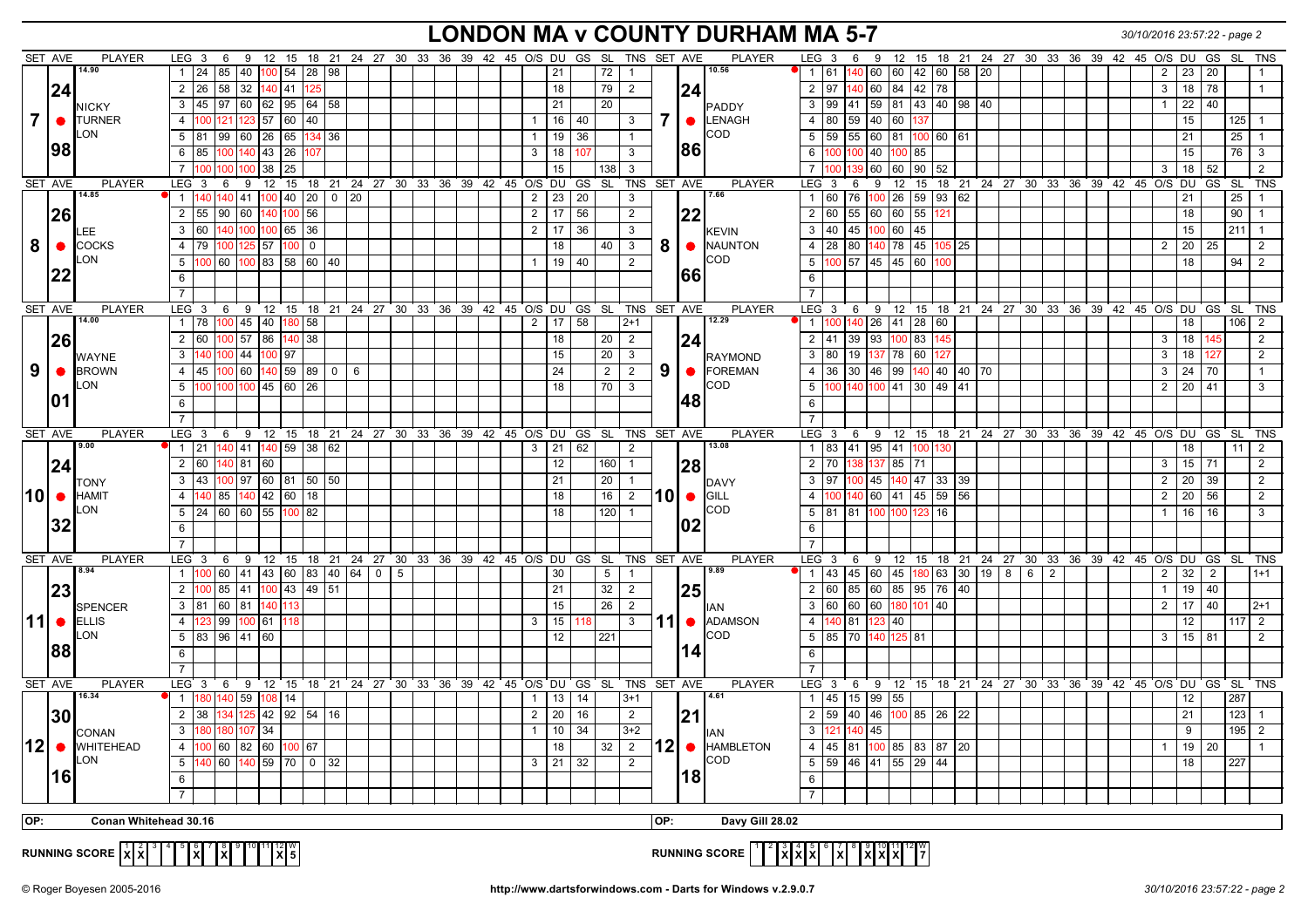### **LONDON MA v COUNTY DURHAM MA 5-7** *30/10/2016 23:57:22 - page 2*

|                | SET AVE         | PLAYER                 | LEG <sub>3</sub>                          | 6                |              | 9 12 15 18 21 24 27 30 33 36 39 42 45 O/S DU GS SL               |         |                |                |                                      |  |                       |                 |                 |              | TNS SET AVE             |     |           | <b>PLAYER</b>              | LEG <sub>3</sub>         | 6               |                              |               |                         |       | 9 12 15 18 21 24 27 30 33 36 39 42 45 O/S DU GS SL   |   |                |  |                |              |     |                  | <b>TNS</b>     |
|----------------|-----------------|------------------------|-------------------------------------------|------------------|--------------|------------------------------------------------------------------|---------|----------------|----------------|--------------------------------------|--|-----------------------|-----------------|-----------------|--------------|-------------------------|-----|-----------|----------------------------|--------------------------|-----------------|------------------------------|---------------|-------------------------|-------|------------------------------------------------------|---|----------------|--|----------------|--------------|-----|------------------|----------------|
|                |                 | 14.90                  | $\overline{1}$                            | 24 85 40         | $100$ 54     |                                                                  | 28 98   |                |                |                                      |  |                       | 21              | 72              |              | $\overline{1}$          |     |           | 10.56                      | 1   61                   |                 | 140 60 60                    |               | 42 60                   | 58 20 |                                                      |   |                |  | $\overline{2}$ | 23           | 20  |                  |                |
|                | 24              |                        | 2<br>26                                   | 58<br>32         |              | 41                                                               |         |                |                |                                      |  |                       | 18              | 79              |              | 2                       |     | 24        |                            | 2                        | 97              | 60                           | 84<br>42      | 78                      |       |                                                      |   |                |  | 3              | 18           | 78  |                  | $\overline{1}$ |
|                |                 | <b>NICKY</b>           | $\overline{3}$<br>$\sqrt{45}$ 97 60       |                  |              | 62 95 64 58                                                      |         |                |                |                                      |  |                       | 21              | $\overline{20}$ |              |                         |     |           | PADDY                      | $\mathbf{3}$             | 99              | 41 59 81 43 40 98 40         |               |                         |       |                                                      |   |                |  | $\mathbf{1}$   | $22 \mid 40$ |     |                  |                |
| $\overline{7}$ | $\bullet$       | <b>TURNER</b>          | $\overline{4}$<br>100                     | 121 123          | 57 60        | 40                                                               |         |                |                |                                      |  | $\mathbf{1}$          | 16              | 40              |              | 3                       | 7   |           | $\bullet$ LENAGH           | $4 \mid 80$              | 59              | 40 60                        | 137           |                         |       |                                                      |   |                |  |                | 15           |     | $125$ 1          |                |
|                |                 | LON                    | 5 <sup>5</sup><br>81 99                   | 60               | 26 65        |                                                                  | 134 36  |                |                |                                      |  | $\mathbf{1}$          | 19              | 36              |              | $\overline{1}$          |     |           | COD                        | $5 \mid 59$              |                 | 55 60 81                     |               | $100$ 60 61             |       |                                                      |   |                |  |                | 21           |     | 25               | $\overline{1}$ |
|                | 98              |                        | 6<br>l 85                                 | 100 140          |              |                                                                  |         |                |                |                                      |  | $\mathbf{3}$          | 18              | 107             |              | 3                       |     | <b>86</b> |                            | 6                        | 100             | 40 100                       |               |                         |       |                                                      |   |                |  |                | 15           |     | $\overline{76}$  | $\mathbf{3}$   |
|                |                 |                        |                                           |                  | $43 \mid 26$ |                                                                  |         |                |                |                                      |  |                       |                 |                 |              |                         |     |           |                            |                          |                 |                              | 85            |                         |       |                                                      |   |                |  |                |              |     |                  |                |
|                |                 |                        | $\overline{7}$<br>100                     | 00               | 38           | 25                                                               |         |                |                |                                      |  |                       | 15              | 138             | 3            |                         |     |           |                            | $\overline{7}$           |                 | 60                           | 60            | 90 52                   |       |                                                      |   |                |  | 3              | 18           | 52  |                  | 2              |
|                | SET AVE         | <b>PLAYER</b><br>14.85 | LEG <sup>3</sup><br>140                   | 9<br>6<br>140 41 | 12           | 15                                                               |         | 18 21 24 27 30 |                |                                      |  | 33 36 39 42 45 O/S DU | 23              | GS<br>SL SL     |              | TNS                     |     | SET AVE   | PLAYER<br>7.66             | LEG <sub>3</sub>         | 6<br>76         | 9                            | 12<br>15      | 59 93 62                |       | 18 21 24 27 30 33 36 39 42 45 O/S                    |   |                |  |                | DU<br>21     | GS  | <b>SL</b><br>25  | <b>TNS</b>     |
|                |                 |                        |                                           |                  |              | 100 40 20                                                        |         | $0 \mid 20$    |                |                                      |  | $\overline{2}$        |                 | $\vert$ 20      |              | $\mathbf{3}$            |     |           |                            | 1 60                     |                 | 100 26                       |               |                         |       |                                                      |   |                |  |                |              |     |                  |                |
|                | 26              |                        | $\overline{2}$<br>55                      | $90$ 60          | 140          | 00 56                                                            |         |                |                |                                      |  | $\overline{2}$        | 17              | 56              |              | $\overline{2}$          |     | 22        |                            | $2 \ 60$                 |                 | 55 60 60 55                  |               | 121                     |       |                                                      |   |                |  |                | 18           |     | 90               | $\overline{1}$ |
|                |                 | LEE                    | 3<br>  60                                 |                  |              | 140 100 100 65 36                                                |         |                |                |                                      |  | $\overline{2}$        | 17 36           |                 |              | $\mathbf{3}$            |     |           | <b>KEVIN</b>               | $3 \mid 40$              |                 | 45 100 60 45                 |               |                         |       |                                                      |   |                |  |                | 15           |     | $211$ 1          |                |
| 8              | $\bullet$       | <b>COCKS</b>           | $\overline{4}$<br>  79                    | 00   125   57    |              | 100<br>$\overline{0}$                                            |         |                |                |                                      |  |                       | 18              | 40              |              | $\overline{\mathbf{3}}$ | 8   |           | $\bullet$ MAUNTON          | $4 \overline{28}$        | 80              |                              |               | 140 78 45 105 25        |       |                                                      |   |                |  | 2              | $20 \mid 25$ |     |                  | 2              |
|                |                 | <b>LON</b>             | 5 <sup>5</sup>                            |                  |              | $100$ 60 $100$ 83 58 60 40                                       |         |                |                |                                      |  | $\mathbf{1}$          | 19 40           |                 |              | 2                       |     |           | COD                        | 5 100                    |                 | 57 45 45 60                  |               | 100                     |       |                                                      |   |                |  |                | 18           |     | 94               | $\overline{2}$ |
|                | 22              |                        | 6                                         |                  |              |                                                                  |         |                |                |                                      |  |                       |                 |                 |              |                         |     | I66l      |                            | 6                        |                 |                              |               |                         |       |                                                      |   |                |  |                |              |     |                  |                |
|                |                 |                        | $\overline{7}$                            |                  |              |                                                                  |         |                |                |                                      |  |                       |                 |                 |              |                         |     |           |                            | $\overline{7}$           |                 |                              |               |                         |       |                                                      |   |                |  |                |              |     |                  |                |
|                | SET AVE         | PLAYER                 | LEG <sub>3</sub>                          |                  |              | 6 9 12 15 18 21 24 27 30 33 36 39 42 45 O/S DU GS SL TNS SET AVE |         |                |                |                                      |  |                       |                 |                 |              |                         |     |           | <b>PLAYER</b>              | $LEG$ 3                  | 6               | 9                            |               |                         |       | 12 15 18 21 24 27 30 33 36 39 42 45 O/S DU GS        |   |                |  |                |              |     | <b>SL</b>        | <b>TNS</b>     |
|                |                 | 14.00                  | $\mathbf{1}$<br>78                        | 100 45           | 40 l         | 180<br>58                                                        |         |                |                |                                      |  | $\overline{2}$        | 17              | 58              | $2+1$        |                         |     |           | 12.29                      | $1 \, 100$               | 140             | 26 41 28 60                  |               |                         |       |                                                      |   |                |  |                | 18           |     | 106 <sup>1</sup> | $\overline{2}$ |
|                | 26              |                        | $\overline{2}$<br> 60                     | 00 57            | 86           | 140 38                                                           |         |                |                |                                      |  |                       | 18              | 20              |              | 2                       |     | 24        |                            | 2 41                     |                 | 39   93   100                | 83            | 145                     |       |                                                      |   |                |  | 3              | 18           | 145 |                  | 2              |
|                |                 | WAYNE                  | 3<br>140                                  | 00 44            |              | 97                                                               |         |                |                |                                      |  |                       | 15              | 20              |              | 3                       |     |           | RAYMOND                    | 3 80                     | 19              | 137 78                       | 60            | 127                     |       |                                                      |   |                |  | 3              | 18           | 127 |                  | 2              |
| 9              | $\bullet$       | <b>BROWN</b>           | $\overline{4}$<br>45                      | 00 60            |              | 140 59 89                                                        | $0$   6 |                |                |                                      |  |                       | 24              | $\overline{2}$  |              | $\overline{2}$          | 9   |           | $\bullet$ FOREMAN          | $4 \overline{36}$        | 30              | 46 99                        |               | 140 40 40 70            |       |                                                      |   |                |  | $\overline{3}$ | 24           | 70  |                  | $\overline{1}$ |
|                |                 | _ON                    | 5<br>100                                  | 100 100          | 45 60        | 26                                                               |         |                |                |                                      |  |                       | 18              | 70              | $\mathbf{3}$ |                         |     |           | COD                        | 5 <sup>5</sup>           | 140             | 100   41                     |               | 30 49                   | 41    |                                                      |   |                |  | 2              | 20 41        |     |                  | 3              |
|                | 101             |                        | 6                                         |                  |              |                                                                  |         |                |                |                                      |  |                       |                 |                 |              |                         |     | 48        |                            | 6                        |                 |                              |               |                         |       |                                                      |   |                |  |                |              |     |                  |                |
|                |                 |                        | $\overline{7}$                            |                  |              |                                                                  |         |                |                |                                      |  |                       |                 |                 |              |                         |     |           |                            |                          |                 |                              |               |                         |       |                                                      |   |                |  |                |              |     |                  |                |
|                | SET AVE         | <b>PLAYER</b>          | LEG <sup>3</sup>                          | 6                |              | 9 12 15 18 21 24 27 30 33 36 39 42 45 O/S DU GS SL TNS SET AVE   |         |                |                |                                      |  |                       |                 |                 |              |                         |     |           | <b>PLAYER</b>              | $LEG \ 3$                | 6               |                              |               |                         |       | 9 12 15 18 21 24 27 30 33 36 39 42 45 O/S DU GS      |   |                |  |                |              |     | <b>SL</b>        | <b>TNS</b>     |
|                |                 | 9.00                   | 21<br>$\overline{1}$                      | 140 41           |              | 140 59 38 62                                                     |         |                |                |                                      |  | 3                     | 21              | 62              |              | $\overline{2}$          |     |           | 13.08                      | $1 \vert 83$             |                 | 41   95   41                 |               | 100 <sub>l</sub><br>130 |       |                                                      |   |                |  |                | 18           |     | 11               | 2              |
|                | 24              |                        | $\overline{2}$<br>60                      | 140 81           | $ 60\rangle$ |                                                                  |         |                |                |                                      |  |                       | 12              | 160             |              | $\overline{1}$          |     | 28        |                            | 2 70                     |                 | 138 137   85                 | 71            |                         |       |                                                      |   |                |  | 3              | $15$ 71      |     |                  | 2              |
|                |                 | TONY                   | $\mathbf{3}$<br>43                        | 100 97           |              | 60 81 50 50                                                      |         |                |                |                                      |  |                       | 21              | 20              |              |                         |     |           | <b>I</b> DAVY              | $3 \mid 97$              |                 | 45 140                       | 47            | 33 39                   |       |                                                      |   |                |  | 2              | 20           | 39  |                  | $\overline{2}$ |
|                | ∣10I ●          | <b>HAMIT</b>           | $\overline{4}$                            |                  |              | 140 85 140 42 60 18                                              |         |                |                |                                      |  |                       | 18              | 16              |              | $\overline{2}$          |     |           | 10   GILL                  | 4                        | 10 <sub>C</sub> | 140   60   41   45   59   56 |               |                         |       |                                                      |   |                |  | 2              | 20 56        |     |                  | 2              |
|                |                 | <b>LON</b>             | 5 <sup>5</sup>                            | 24  60  60       |              | 55 100 82                                                        |         |                |                |                                      |  |                       | 18              | 120             |              |                         |     |           | COD                        | $5 \mid 81$              |                 | 81 100 100                   | 123           | 16                      |       |                                                      |   |                |  | $\mathbf{1}$   | $16$ 16      |     |                  | $\mathbf{3}$   |
|                | 32              |                        | 6                                         |                  |              |                                                                  |         |                |                |                                      |  |                       |                 |                 |              |                         |     | 02        |                            | 6                        |                 |                              |               |                         |       |                                                      |   |                |  |                |              |     |                  |                |
|                |                 |                        | $\overline{7}$                            |                  |              |                                                                  |         |                |                |                                      |  |                       |                 |                 |              |                         |     |           |                            |                          |                 |                              |               |                         |       |                                                      |   |                |  |                |              |     |                  |                |
|                | SET AVE         | <b>PLAYER</b>          | LEG <sup>3</sup>                          | 6<br>9           | 12           | 15                                                               |         |                |                | 18 21 24 27 30 33 36 39 42 45 O/S DU |  |                       |                 | GS SL           |              | TNS SET AVE             |     |           | <b>PLAYER</b>              | LEG <sub>3</sub>         | 6               | 9                            | $12 \quad 15$ | $18$ 21                 |       | 24  27  30  33  36  39  42  45  O/S  DU              |   |                |  |                |              | GS  | SL.              | <b>TNS</b>     |
|                |                 | 8.94                   |                                           | 60 41            |              | 43  60  83  40  64                                               |         |                | $\overline{0}$ | 5                                    |  |                       | 30              | $5\overline{)}$ |              |                         |     |           | 9.89                       | $1 \vert 43$             |                 | 45 60 45                     |               |                         |       | 180 63 30 19 8                                       | 6 | $\overline{2}$ |  | 2              | 32           | 2   |                  | $1+1$          |
|                | 23              |                        | 2<br>100                                  | 85 41            | $100$ 43     |                                                                  | 49 51   |                |                |                                      |  |                       | 21              | $\overline{32}$ |              | $\overline{2}$          |     | 25        |                            | 2 60                     |                 | 85 60 85 95 76               |               |                         | 40    |                                                      |   |                |  | $\mathbf{1}$   | $19$ 40      |     |                  |                |
|                |                 | <b>SPENCER</b>         | $\mathbf{3}$<br>81 60 81                  |                  | 140 I        | 13                                                               |         |                |                |                                      |  |                       | 15              | 26              |              | 2                       |     |           | lian                       | 3 60                     |                 | 60  60  180  101   40        |               |                         |       |                                                      |   |                |  | 2              | 17           | 40  |                  | $2 + 1$        |
|                | 11 $\bullet$    | <b>ELLIS</b>           | $\overline{4}$<br>123                     | 99 100 61        |              | 118                                                              |         |                |                |                                      |  | 3                     | 15              |                 |              | $\mathbf{3}$            |     |           | 11 • ADAMSON               | 4                        | 181 I<br>140    | 123 40                       |               |                         |       |                                                      |   |                |  |                | 12           |     | 117              | $\overline{2}$ |
|                |                 | <b>LON</b>             | 5                                         | 83  96  41       | 60           |                                                                  |         |                |                |                                      |  |                       | 12 <sup>°</sup> | 221             |              |                         |     |           | COD                        | 5 85                     | 70              |                              | 140 125 81    |                         |       |                                                      |   |                |  | 3 <sup>1</sup> | 15           | 81  |                  | 2              |
|                | 88              |                        |                                           |                  |              |                                                                  |         |                |                |                                      |  |                       |                 |                 |              |                         |     | 14        |                            |                          |                 |                              |               |                         |       |                                                      |   |                |  |                |              |     |                  |                |
|                |                 |                        | 6                                         |                  |              |                                                                  |         |                |                |                                      |  |                       |                 |                 |              |                         |     |           |                            | 6                        |                 |                              |               |                         |       |                                                      |   |                |  |                |              |     |                  |                |
|                |                 |                        |                                           |                  |              |                                                                  |         |                |                |                                      |  |                       |                 |                 |              |                         |     |           |                            |                          |                 |                              |               |                         |       |                                                      |   |                |  |                |              |     |                  |                |
|                | SET AVE         | PLAYER<br>16.34        | LEG <sup>3</sup><br>180<br>$\overline{1}$ | 140 59           | $108$ 14     | 6 9 12 15 18 21 24 27 30 33 36 39 42 45 O/S DU GS SL             |         |                |                |                                      |  | $\overline{1}$        | 13              | 14              |              | TNS SET AVE<br>$3 + 1$  |     |           | <b>PLAYER</b><br>4.61      | LEG <sub>3</sub><br>1 45 |                 | 15 99 55                     |               |                         |       | 6 9 12 15 18 21 24 27 30 33 36 39 42 45 O/S DU GS SL |   |                |  |                | 12           |     | 287              | TNS            |
|                |                 |                        | l 38                                      |                  |              | 42 92 54 16                                                      |         |                |                |                                      |  |                       |                 |                 |              |                         |     |           |                            | 2                        | 59              | 40 46 100 85 26 22           |               |                         |       |                                                      |   |                |  |                |              |     | $123$ 1          |                |
|                | 30              |                        | 2                                         | 34 125           |              |                                                                  |         |                |                |                                      |  | $\overline{2}$        | 20              | 16              |              | $\overline{2}$          |     | 21        |                            |                          |                 |                              |               |                         |       |                                                      |   |                |  |                | 21           |     |                  |                |
|                |                 | CONAN                  | $\mathbf{3}$<br>180                       | 180 107          | 34           |                                                                  |         |                |                |                                      |  | $\mathbf{1}$          | 10              | 34              |              | $3 + 2$                 |     |           | IAN                        | $\mathbf{3}$             | 140<br>121      | 45                           |               |                         |       |                                                      |   |                |  |                | 9            |     | $195$ 2          |                |
|                | 12 <sup>o</sup> | <b>WHITEHEAD</b>       | $\overline{4}$<br>100                     | 60  82  60  1    |              | 100 67                                                           |         |                |                |                                      |  |                       | 18              | 32              |              | $\overline{2}$          |     |           | $ 12 $ $\bullet$ HAMBLETON | $4 \mid 45$              |                 | 81  100   85   83   87   20  |               |                         |       |                                                      |   |                |  | $\mathbf{1}$   | $19 \mid 20$ |     |                  |                |
|                |                 | LON                    | 5 <sup>5</sup><br>140                     |                  |              | 60 140 59 70 0 32                                                |         |                |                |                                      |  | $\mathbf{3}$          | 21 32           |                 |              | 2                       |     |           | COD                        | $5 \overline{59}$        |                 | 46 41 55 29 44               |               |                         |       |                                                      |   |                |  |                | 18           |     | 227              |                |
|                | 16              |                        | 6                                         |                  |              |                                                                  |         |                |                |                                      |  |                       |                 |                 |              |                         |     | 18        |                            | 6                        |                 |                              |               |                         |       |                                                      |   |                |  |                |              |     |                  |                |
|                |                 |                        |                                           |                  |              |                                                                  |         |                |                |                                      |  |                       |                 |                 |              |                         |     |           |                            | $\overline{7}$           |                 |                              |               |                         |       |                                                      |   |                |  |                |              |     |                  |                |
| OP:            |                 | Conan Whitehead 30.16  |                                           |                  |              |                                                                  |         |                |                |                                      |  |                       |                 |                 |              |                         | OP: |           | Davy Gill 28.02            |                          |                 |                              |               |                         |       |                                                      |   |                |  |                |              |     |                  |                |
|                |                 |                        |                                           |                  |              |                                                                  |         |                |                |                                      |  |                       |                 |                 |              |                         |     |           |                            |                          |                 |                              |               |                         |       |                                                      |   |                |  |                |              |     |                  |                |
|                |                 |                        |                                           |                  |              |                                                                  |         |                |                |                                      |  |                       |                 |                 |              |                         |     |           |                            |                          |                 |                              |               |                         |       |                                                      |   |                |  |                |              |     |                  |                |

**RUNNING SCORE**  $\left|\frac{1}{X}\right|\frac{2}{X}\right]^3\left|\frac{4}{1}\right|^5\left|\frac{6}{X}\right|^7\left|\frac{8}{X}\right|^8\left|\frac{10}{11}\right|^{11}\left|\frac{12}{X}\right|\frac{10}{5}$ 

**RUNNING SCORE**  $\begin{bmatrix} 1 & 2 & 3 & 4 & 5 & 6 & 7 & 8 & 9 & 10 & 11 & 12 & 18 \ 5 & 0 & 0 & 0 & 0 & 0 & 0 \end{bmatrix}$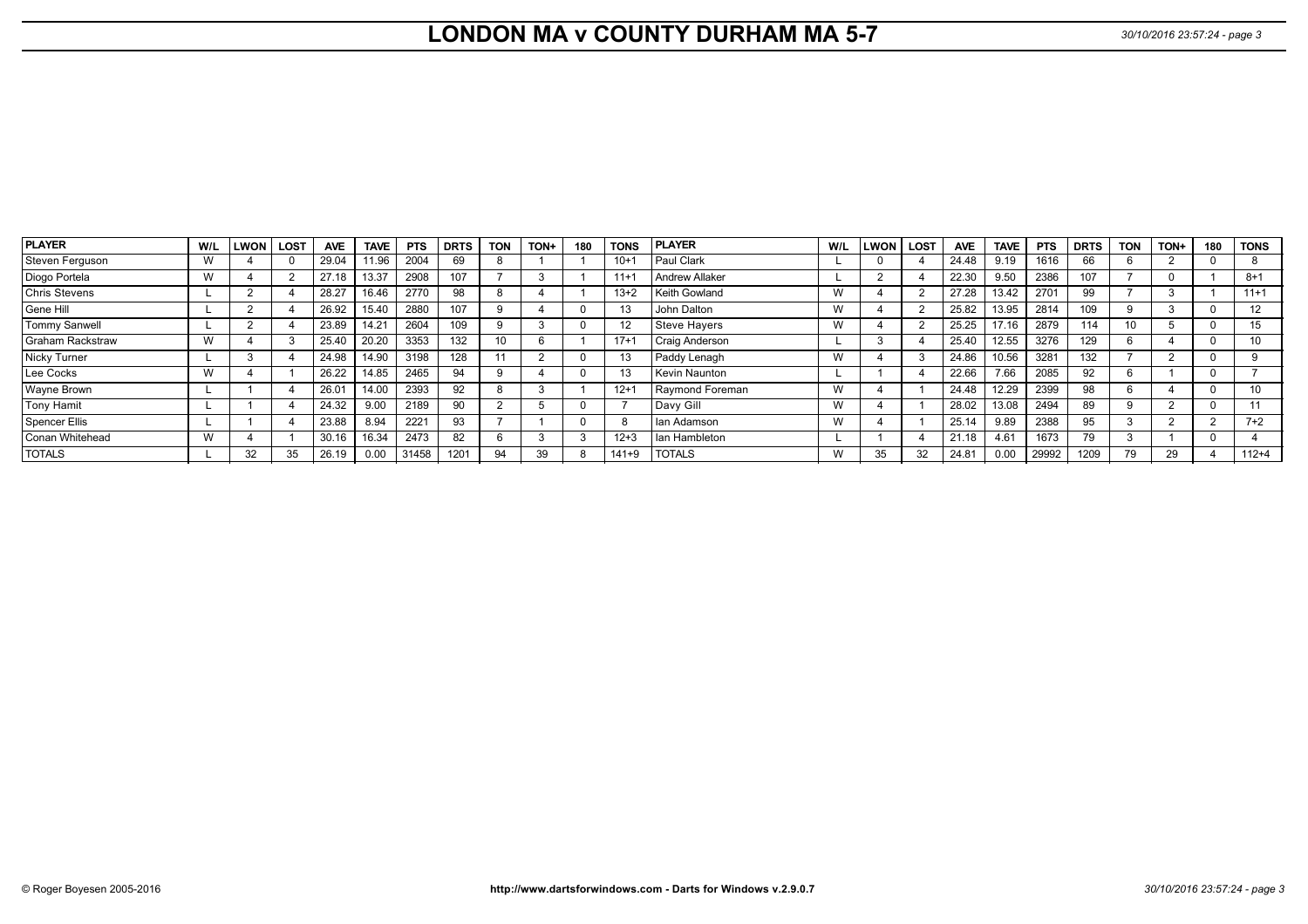# **LONDON MA v COUNTY DURHAM MA 5-7** *30/10/2016 23:57:24 - page 3*

| <b>PLAYER</b>           | W/L | <b>LWON</b> | LOST | <b>AVE</b> | <b>TAVE</b> | <b>PTS</b> | <b>DRTS</b> | <b>TON</b> | TON+ | 180 | <b>TONS</b> | <b>PLAYER</b>         | W/L | <b>LWON</b> | <b>LOST</b> | <b>AVE</b> | <b>TAVE</b> | <b>PTS</b> | <b>DRTS</b> | <b>TON</b> | TON+ | 180 | <b>TONS</b> |
|-------------------------|-----|-------------|------|------------|-------------|------------|-------------|------------|------|-----|-------------|-----------------------|-----|-------------|-------------|------------|-------------|------------|-------------|------------|------|-----|-------------|
| Steven Ferquson         | w   |             |      | 29.04      | 11.96       | 2004       | 69          |            |      |     | $10+1$      | Paul Clark            |     |             |             | 24.48      | 9.19        | 1616       | 66          |            |      |     |             |
| Diogo Portela           | W   |             |      | 27.18      | 13.37       | 2908       | 107         |            |      |     | $11 +$      | Andrew Allaker        |     |             |             | 22.30      | 9.50        | 2386       | 107         |            |      |     | $8 + 1$     |
| <b>Chris Stevens</b>    |     |             |      | 28.27      | 16.46       | 2770       | 98          |            |      |     | $13+2$      | Keith Gowland         | W   |             |             | 27.28      | 13.42       | 2701       | 99          |            |      |     | $11+1$      |
| Gene Hill               |     |             |      | 26.92      | 15.40       | 2880       | 107         |            |      |     |             | John Dalton           | W   |             |             | 25.82      | 13.95       | 2814       | 109         |            |      |     | 12          |
| <b>Tommy Sanwell</b>    |     |             |      | 23.89      | 14.21       | 2604       | 109         |            |      |     | 12          | <b>Steve Hayers</b>   | W   |             |             | 25.25      | 17.16       | 2879       | 114         |            |      |     | 15          |
| <b>Graham Rackstraw</b> | W   |             |      | 25.40      | 20.20       | 3353       | 132         |            |      |     | $17 + 7$    | <b>Craig Anderson</b> |     |             |             | 25.40      | 12.55       | 3276       | 129         |            |      |     | 10          |
| Nicky Turner            |     |             |      | 24.98      | 14.90       | 3198       | 128         |            |      |     | 13          | Paddy Lenagh          | W   |             |             | 24.86      | 10.56       | 3281       | 132         |            |      |     |             |
| Lee Cocks               | W   |             |      | 26.22      | 14.85       | 2465       | 94          |            |      |     | 13          | Kevin Naunton         |     |             |             | 22.66      | 7.66        | 2085       | 92          |            |      |     |             |
| Wayne Brown             |     |             |      | 26.01      | 14.00       | 2393       | 92          |            |      |     | $12 + 7$    | Raymond Foreman       | W   |             |             | 24.48      | 12.29       | 2399       | 98          |            |      |     |             |
| <b>Tony Hamit</b>       |     |             |      | 24.32      | 9.00        | 2189       | 90          |            |      |     |             | Davy Gill             | W   |             |             | 28.02      | 13.08       | 2494       | 89          |            |      |     |             |
| <b>Spencer Ellis</b>    |     |             |      | 23.88      | 8.94        | 2221       | 93          |            |      |     |             | I lan Adamson         | W   |             |             | 25.14      | 9.89        | 2388       | 95          |            |      |     | $7+2$       |
| Conan Whitehead         |     |             |      | 30.16      | 16.34       | 2473       | 82          |            |      |     | $12 + 3$    | I lan Hambleton       |     |             |             | 21.18      | 4.61        | 1673       | 79          |            |      |     |             |
| <b>TOTALS</b>           |     | 32          | 35   | 26.19      | 0.00        | 31458      | 1201        | 94         | 39   |     | $141 + 9$   | <b>TOTALS</b>         | W   | 35          | 32          | 24.81      | 0.00        | 29992      | 1209        | 79         | 29   |     | $112+4$     |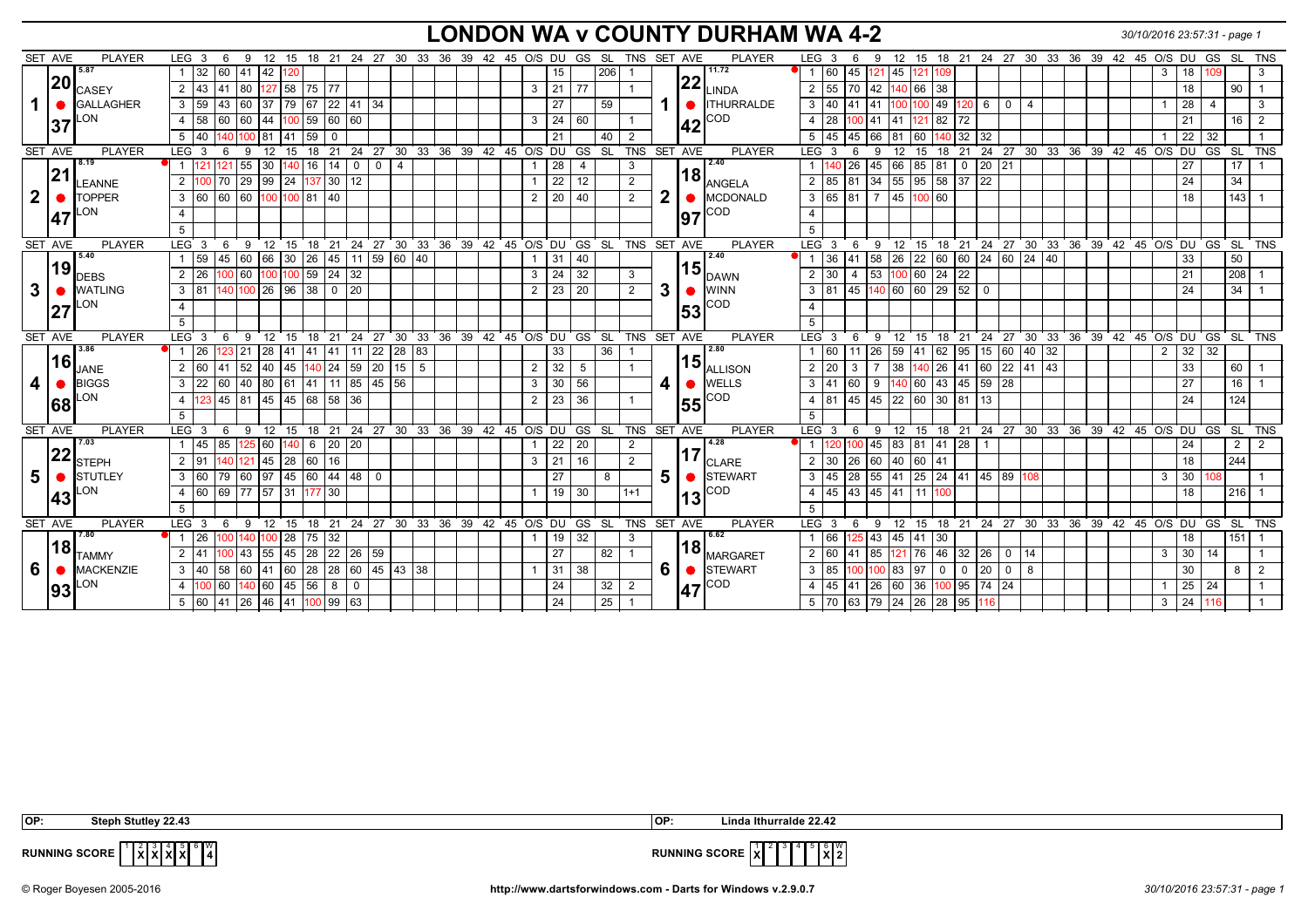## **LONDON WA v COUNTY DURHAM WA 4-2** *30/10/2016 23:57:31 - page 1*

|                         | SET AVE   | <b>PLAYER</b>         | LEG 3<br>6                                                             | - 9<br>12                                                                                        |                    |          |                         |                | 15 18 21 24 27 30 33 36 39 42 45 O/S DU GS SL                |  |                      |                      |          | TNS SET AVE    |              |     | <b>PLAYER</b>                                            | LEG <sub>3</sub>     | 6                | 9          |                         | 12 15 18 21 24 27 30 33 36 39 42 45 O/S DU                  |                 |             |                 |  |  |                                          |                   | GS             | SL TNS          |   |
|-------------------------|-----------|-----------------------|------------------------------------------------------------------------|--------------------------------------------------------------------------------------------------|--------------------|----------|-------------------------|----------------|--------------------------------------------------------------|--|----------------------|----------------------|----------|----------------|--------------|-----|----------------------------------------------------------|----------------------|------------------|------------|-------------------------|-------------------------------------------------------------|-----------------|-------------|-----------------|--|--|------------------------------------------|-------------------|----------------|-----------------|---|
|                         |           | 5.87                  | 32<br>60                                                               | 41<br>42                                                                                         |                    |          |                         |                |                                                              |  |                      | 15                   | 206      |                |              |     | 11.72                                                    | 60                   | 45               | $121$ 45   | 121                     |                                                             |                 |             |                 |  |  |                                          |                   |                |                 |   |
|                         | 20        | <b>CASEY</b>          | 41 80<br>43<br>2                                                       |                                                                                                  | 127 58 75 77       |          |                         |                |                                                              |  | 21<br>3              | 77                   |          |                |              |     | $\bm{\mathsf{[22]}}_\text{\tiny{LINDA}}$                 | 55<br>$\overline{2}$ | 70               |            | 42 140 66               | 38                                                          |                 |             |                 |  |  |                                          | 18                |                | 90              |   |
|                         |           | <b>GALLAGHER</b>      | $3 \mid 59$<br>43 60                                                   |                                                                                                  |                    |          | 37 79 67 22 41 34       |                |                                                              |  | $\overline{27}$      |                      | 59       |                |              |     | <b>ITHURRALDE</b>                                        | $3 \mid 40$          | $\overline{141}$ |            |                         | 41 100 100 49 120                                           |                 | $6$ 0       | l 4             |  |  |                                          | $\overline{28}$   | $\overline{4}$ |                 | 3 |
|                         |           | LON                   | $\sqrt{58}$<br>60 60<br>$\overline{4}$                                 |                                                                                                  | 44 100 59 60 60    |          |                         |                |                                                              |  | 24<br>3              | 60                   |          |                |              |     | ICOD                                                     | $4 \mid 28$          | 00               | 41 41      |                         | $121$ 82 72                                                 |                 |             |                 |  |  |                                          | 21                |                | 16              | 2 |
|                         | 37        |                       | $ 40\rangle$<br>5 <sup>5</sup>                                         | 0 <sup>0</sup><br>81                                                                             | 59<br> 41          | $\Omega$ |                         |                |                                                              |  | 21                   |                      | 40       | 2              |              | 142 |                                                          | $5 \mid 45 \mid 45$  |                  | 166 181    |                         | $60 \vert 140 \vert 32$                                     | 32              |             |                 |  |  |                                          | 22                | 32             |                 |   |
|                         | SET AVE   | <b>PLAYER</b>         | LEG <sup>3</sup><br>-6                                                 | -9<br>12                                                                                         | 15                 |          |                         |                | 18 21 24 27 30 33 36 39 42 45 O/S DU GS SL                   |  |                      |                      |          | TNS SET AVE    |              |     | PLAYER                                                   | $LEG$ 3              | -6               | 9          | 15<br>$12 \overline{ }$ | 18 21                                                       |                 |             |                 |  |  | 24 27 30 33 36 39 42 45 O/S DU GS SL TNS |                   |                |                 |   |
|                         |           | 8.19                  |                                                                        | 55<br>30                                                                                         | 16                 | 14       | $\mathbf 0$<br>$\Omega$ | $\overline{4}$ |                                                              |  |                      | 28<br>$\overline{4}$ |          | 3              |              |     | 2.40                                                     |                      | 26               | 45         | 66                      | 85 81                                                       | $\mathbf 0$     | $20$ 21     |                 |  |  |                                          | 27                |                | 17              |   |
|                         | 21        | LEANNE                | $\overline{2}$<br>100 70                                               | 29 <br>$\left  \frac{99}{24} \right  \left  \frac{137}{30} \right  \left  \frac{12}{25} \right $ |                    |          |                         |                |                                                              |  |                      | 22<br>  12           |          | 2              |              |     | $18$ Angela                                              | $2 \mid 85$          | 81               |            |                         | 34 55 95 58 37                                              | $\overline{22}$ |             |                 |  |  |                                          | 24                |                | $\overline{34}$ |   |
| $\mathbf{2}$            |           | <b>TOPPER</b>         | 3 60 60 60 100 100 81 40                                               |                                                                                                  |                    |          |                         |                |                                                              |  | 20<br>2              | 40                   |          | 2              | $\mathbf{2}$ |     | $\bigcirc$ MCDONALD                                      | 3   65   81          |                  |            | 7   45   100   60       |                                                             |                 |             |                 |  |  |                                          | 18                |                | 143             |   |
|                         |           | LON                   |                                                                        |                                                                                                  |                    |          |                         |                |                                                              |  |                      |                      |          |                |              |     | ICOD                                                     | $\overline{4}$       |                  |            |                         |                                                             |                 |             |                 |  |  |                                          |                   |                |                 |   |
|                         | 47        |                       | 5                                                                      |                                                                                                  |                    |          |                         |                |                                                              |  |                      |                      |          |                |              | 197 |                                                          | 5                    |                  |            |                         |                                                             |                 |             |                 |  |  |                                          |                   |                |                 |   |
|                         | SET AVE   | <b>PLAYER</b>         | $LEG^3$ 3<br>-6                                                        | - 9<br>12 <sup>1</sup>                                                                           |                    |          |                         |                | 15 18 21 24 27 30 33 36 39 42 45 O/S DU GS SL TNS SET AVE    |  |                      |                      |          |                |              |     | PLAYER                                                   | LEG <sub>3</sub>     | 6                | 9          |                         | 12 15 18 21 24 27 30 33 36 39 42 45 O/S DU GS SL TNS        |                 |             |                 |  |  |                                          |                   |                |                 |   |
|                         |           | 5.40                  | 45 60<br>59                                                            | 66 30 26                                                                                         |                    |          |                         |                |                                                              |  | 31                   | 40                   |          |                |              |     | 2.40                                                     |                      | 36 41            | 58 26      |                         | 22 60 60 24 60 24 40                                        |                 |             |                 |  |  |                                          | 33                |                | 50              |   |
|                         | 19        | <b>DEBS</b>           | l 26<br>100 60 <br>2                                                   |                                                                                                  | $100$ 100 59 24 32 |          |                         |                |                                                              |  | 24<br>3              | 32                   |          | $\mathbf{3}$   |              |     | $15$ $_{\text{DAWN}}$                                    | $\overline{2}$<br>30 | $\overline{4}$   |            |                         | 53 100 60 24 22                                             |                 |             |                 |  |  |                                          | 21                |                | 208             |   |
| 3                       |           | <b>WATLING</b>        | $3$ 81 $140$ 100 26 96 38                                              |                                                                                                  |                    |          |                         |                |                                                              |  | 23<br>$\overline{2}$ | 20                   |          | $\overline{2}$ | 3            |     | $\bullet$ WINN                                           | $3 \overline{81}$    | 45               |            |                         | $140$ 60 60 29 52                                           | $\overline{0}$  |             |                 |  |  |                                          | 24                |                | 34              |   |
|                         |           | LON                   | $\overline{a}$                                                         |                                                                                                  |                    |          |                         |                |                                                              |  |                      |                      |          |                |              |     | ICOD                                                     | $\overline{4}$       |                  |            |                         |                                                             |                 |             |                 |  |  |                                          |                   |                |                 |   |
|                         | 27        |                       | 5                                                                      |                                                                                                  |                    |          |                         |                |                                                              |  |                      |                      |          |                |              | 53  |                                                          | $5^{\circ}$          |                  |            |                         |                                                             |                 |             |                 |  |  |                                          |                   |                |                 |   |
|                         |           |                       | $LEG \ 3$<br>6 9                                                       |                                                                                                  |                    |          |                         |                | 12 15 18 21 24 27 30 33 36 39 42 45 O/S DU GS SL TNS SET AVE |  |                      |                      |          |                |              |     | PLAYER                                                   | LEG <sup>3</sup>     | - 6              | <u>່ 9</u> |                         | 12 15 18 21 24 27 30 33 36 39 42 45 O/S DU GS SL TNS        |                 |             |                 |  |  |                                          |                   |                |                 |   |
|                         |           |                       |                                                                        |                                                                                                  |                    |          |                         |                |                                                              |  |                      |                      |          |                |              |     |                                                          |                      |                  |            |                         |                                                             |                 |             |                 |  |  |                                          |                   |                |                 |   |
|                         | SET AVE   | <b>PLAYER</b><br>3.86 |                                                                        |                                                                                                  |                    |          |                         |                |                                                              |  |                      |                      |          |                |              |     | 2.80                                                     |                      |                  |            |                         |                                                             |                 |             |                 |  |  |                                          |                   |                |                 |   |
|                         | 16        |                       | 126<br>123 21                                                          | 28  41                                                                                           |                    |          | 41 41 11 22 28 83       |                |                                                              |  |                      | 33                   | 36       |                |              |     |                                                          | $\overline{60}$      |                  |            |                         | 11 26 59 41 62 95 15 60 40 32                               |                 |             |                 |  |  | $\overline{2}$                           | 32                | 32             |                 |   |
|                         |           | <b>JANE</b>           | 160<br>2<br>41                                                         | 52 40 45 140 24 59 20 15 5                                                                       |                    |          |                         |                |                                                              |  | 32<br>$\overline{2}$ | 5                    |          |                |              |     | $\left 15\right _{\text{ALLISON}}$                       | 2 20                 | 3                |            | 38                      | 140 26 41 60 22 41 43                                       |                 |             |                 |  |  |                                          | 33                |                | 60              |   |
| $\overline{\mathbf{4}}$ | $\bullet$ | <b>BIGGS</b>          | $ 22\rangle$<br>$\mathbf{3}$                                           | 60   40   80   61   41   11   85   45   56                                                       |                    |          |                         |                |                                                              |  | 3<br>30              | 56                   |          |                | 4            |     | $\bullet$ WELLS                                          | $3 \overline{41}$    | 60               |            |                         | 9 140 60 43 45 59 28                                        |                 |             |                 |  |  |                                          | 27                |                | 16              |   |
|                         | 168       | LON                   | $\overline{4}$<br>123                                                  | 45   81   45   45   68   58   36                                                                 |                    |          |                         |                |                                                              |  | $\overline{23}$<br>2 | 36                   |          | $\overline{1}$ |              | 55  | ICOD                                                     | $4 \mid 81$          |                  |            |                         | 45 45 22 60 30 81                                           | 13              |             |                 |  |  |                                          | 24                |                | 124             |   |
|                         |           |                       | 5                                                                      |                                                                                                  |                    |          |                         |                |                                                              |  |                      |                      |          |                |              |     |                                                          | $5^{\circ}$          |                  |            |                         |                                                             |                 |             |                 |  |  |                                          |                   |                |                 |   |
|                         | SET AVE   | PLAYER<br>7.03        | $LEG_3$<br>- 6                                                         | 9                                                                                                |                    |          |                         |                | 12 15 18 21 24 27 30 33 36 39 42 45 O/S DU GS SL             |  |                      |                      |          | TNS SET AVE    |              |     | PLAYER<br>4.28                                           | LEG <sub>3</sub>     | 6                | ີ 9        |                         | 12 15 18 21 24 27 30 33 36 39 42 45 O/S DU GS               |                 |             |                 |  |  |                                          |                   |                | SL TNS          |   |
|                         |           |                       | 145<br>85                                                              | 125 60 140 6 20 20                                                                               |                    |          |                         |                |                                                              |  | 22<br>$\mathbf{1}$   | 20                   |          | $\overline{2}$ |              |     |                                                          |                      | 00               |            |                         | 45 83 81 41 28                                              | $\mathbf{1}$    |             |                 |  |  |                                          | 24                |                | 2 <sup>1</sup>  |   |
|                         | 22        | <b>STEPH</b>          | 2 91                                                                   | $121$ 45 28 60                                                                                   |                    | 16       |                         |                |                                                              |  | 21<br>3              | 16                   |          | 2              |              | 117 | <b>I</b> CLARE                                           | $2 \overline{30}$    | 26               | 60 40      |                         | 60 41                                                       |                 |             |                 |  |  |                                          | 18                |                | 244             |   |
| 5 <sup>1</sup>          | $\bullet$ | <b>STUTLEY</b>        | 160<br>79 60<br>$\mathbf{3}$                                           |                                                                                                  |                    |          | $\Omega$                |                |                                                              |  | 27                   |                      | 8        |                | 5.           |     | $\bullet$ STEWART                                        | $3 \mid 45$          | 28               | 55 41      |                         | $25 \mid 24 \mid 41 \mid 45 \mid 89$                        |                 |             | 108             |  |  |                                          | 30                |                |                 |   |
|                         | 43        | ON.                   | $\overline{60}$<br>$\overline{4}$                                      | 69 77 57 31 177 30                                                                               |                    |          |                         |                |                                                              |  |                      | 19<br>30             |          | $1+1$          |              | 13  | ICOD                                                     | 4 45 43 45 41 11 100 |                  |            |                         |                                                             |                 |             |                 |  |  |                                          | 18                |                | $216$ 1         |   |
|                         |           |                       | 5                                                                      |                                                                                                  |                    |          |                         |                |                                                              |  |                      |                      |          |                |              |     |                                                          | 5                    |                  |            |                         |                                                             |                 |             |                 |  |  |                                          |                   |                |                 |   |
|                         | SET AVE   | PLAYER                | LEG 3 6 9 12 15 18 21 24 27 30 33 36 39 42 45 O/S DU GS SL TNS SET AVE |                                                                                                  |                    |          |                         |                |                                                              |  |                      |                      |          |                |              |     | <b>PLAYER</b>                                            | $LEG_36$             |                  |            |                         | 9 12 15 18 21 24 27 30 33 36 39 42 45 O/S DU GS SL TNS      |                 |             |                 |  |  |                                          |                   |                |                 |   |
|                         |           | 7.80                  | $\overline{26}$                                                        | 40<br>$100$ 28                                                                                   | $\overline{75}$    | 32       |                         |                |                                                              |  |                      | 32<br>19             |          | 3              |              |     | 6.62                                                     | $1$ 66               |                  |            | 125 43 45 41 30         |                                                             |                 |             |                 |  |  |                                          | 18                |                | 151             |   |
|                         | 18        | <b>TAMMY</b>          | 41<br>100 43<br>2                                                      | 55 45                                                                                            | 28                 | 22 26    | 59                      |                |                                                              |  |                      | 27                   | 82       |                |              |     |                                                          | $2 \ 60$             | 41               | 85 121     |                         | 76 46 32 26 0                                               |                 |             | $ 14\rangle$    |  |  | 3                                        | 30 <sup>7</sup>   | 14             |                 |   |
| 6                       |           | <b>MACKENZIE</b>      | 3 40 58 60 41 60 28 28 60 45 43 38                                     |                                                                                                  |                    |          |                         |                |                                                              |  |                      | $31 \mid 38$         |          |                | 6.           |     | $\left 18\right _{\text{MARGARET}}$<br>$\bullet$ STEWART | 3 85                 | 00               |            | $100$ 83 97             | $\mathbf 0$                                                 | $\mathbf 0$     | $20 \mid 0$ | $\vert 8 \vert$ |  |  |                                          | 30                |                | 8               | 2 |
|                         | 193       | _ON                   | 100 60<br>$\overline{4}$<br>5 60 41 26 46 41 100 99 63                 | $140\,60\,45\,56\,8\,0$                                                                          |                    |          |                         |                |                                                              |  |                      | 24<br>24             | 32<br>25 | 2              |              | 47  | ICOD                                                     |                      |                  |            |                         | 4 45 41 26 60 36 100 95 74 24<br>5 70 63 79 24 26 28 95 116 |                 |             |                 |  |  | 3 <sup>1</sup>                           | $25$ 24<br>24 116 |                |                 |   |

 $\mathbf{x}$   $\mathbf{x}$   $\mathbf{x}$   $\mathbf{x}$   $\mathbf{x}$ 

 $\mathbf{x}$ <sup>6</sup>  $\mathbf{x}$ 

 **OP: Steph Stutley 22.43 OP: Linda Ithurralde 22.42**



**RUNNING SCORE**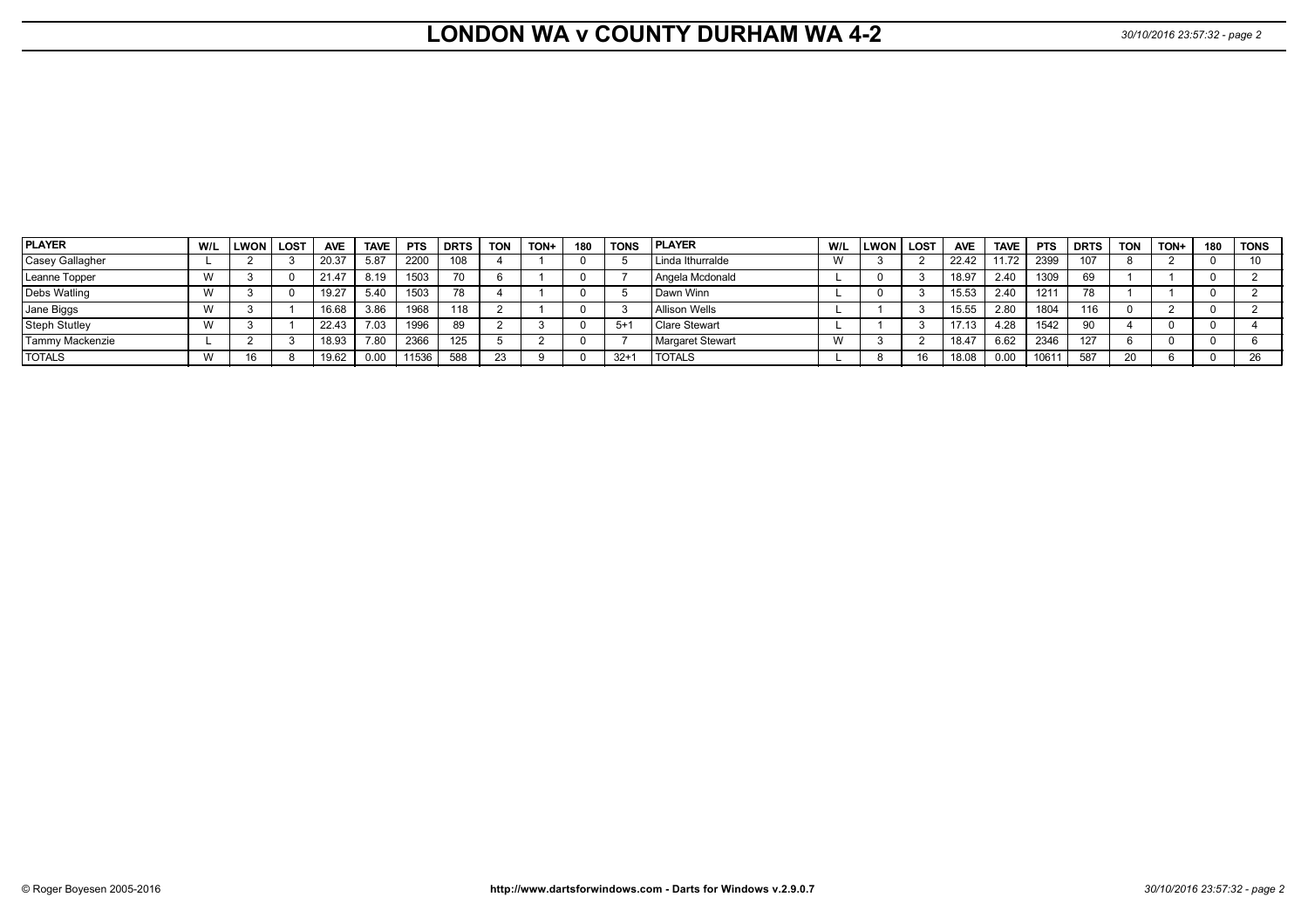# **LONDON WA v COUNTY DURHAM WA 4-2** 30/10/2016 23:57:32 - page 2

| PLAYER          | W/L | <b>LWON</b> I | <b>LOST</b> | <b>AVE</b> | <b>TAVE</b> | <b>PTS</b> | <b>DRTS</b> | <b>TON</b> | TON+ | 180 | <b>TONS</b> | <b>PLAYER</b>        | W/L | <b>LWON</b> | <b>LOST</b> | <b>AVE</b> | <b>TAVE</b> | <b>PTS</b> | <b>DRTS</b> | <b>TON</b> | TON+ | 180 | <b>TONS</b> |
|-----------------|-----|---------------|-------------|------------|-------------|------------|-------------|------------|------|-----|-------------|----------------------|-----|-------------|-------------|------------|-------------|------------|-------------|------------|------|-----|-------------|
| Casey Gallagher |     |               |             | 20.37      | 5.87        | 2200       | 801         |            |      |     |             | Linda Ithurralde     |     |             |             | 22.42      | 11.72       | 2399       | 107         |            |      |     | 10          |
| Leanne Topper   |     |               |             | 21.47      | 8.19        | 1503       |             |            |      |     |             | Angela Mcdonald      |     |             |             | 18.97      | 2.40        | 1309       | 69          |            |      |     |             |
| Debs Watling    |     |               |             | 19.27      | 5.40        | 1503       | 78          |            |      |     |             | l Dawn Winn          |     |             |             | 15.53      | 2.40        | 1211       |             |            |      |     |             |
| Jane Biggs      |     |               |             | 16.68      | 3.86        | 1968       | 118         |            |      |     |             | <b>Allison Wells</b> |     |             |             | 15.55      | 2.80        | 1804       | 116         |            |      |     |             |
| Steph Stutley   |     |               |             | 22.43      | 7.03        | 1996       |             |            |      |     | $5+$        | <b>Clare Stewart</b> |     |             |             | 17.13      | 4.28        | 1542       | 90          |            |      |     |             |
| Tammy Mackenzie |     |               |             | 18.93      | 7.80        | 2366       | 125         |            |      |     |             | Margaret Stewart     |     |             |             | 18.47      | 6.62        | 2346       | 127         |            |      |     |             |
| <b>TOTALS</b>   |     | 16            |             | 19.62      | 0.00        | 11536      | 588         | 23         |      |     | $32+7$      | <b>TOTALS</b>        |     |             |             | 18.08      | 0.00        | 10611      | 587         | 20         |      |     | 26          |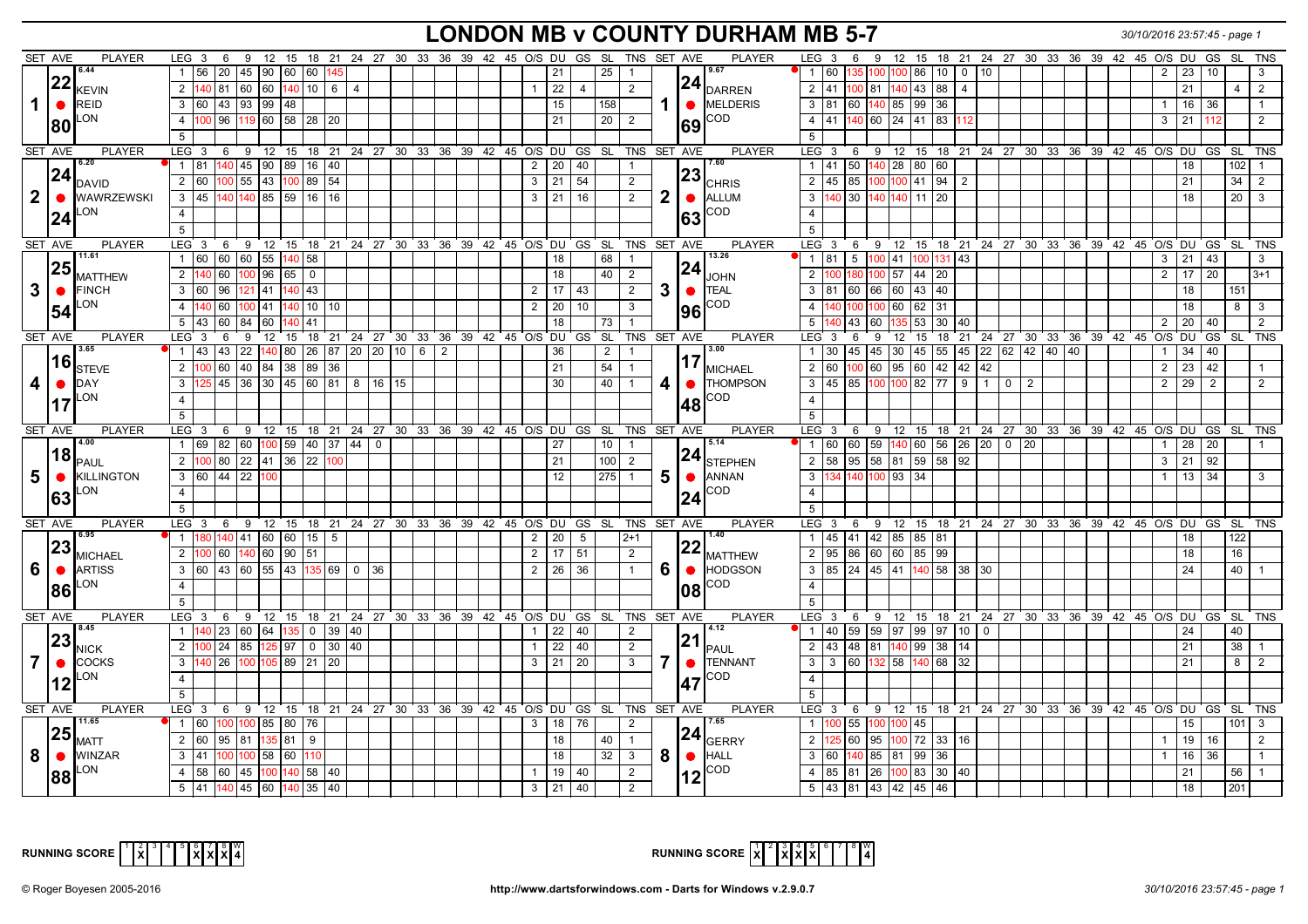## **LONDON MB v COUNTY DURHAM MB 5-7** *30/10/2016 23:57:45 - page 1*

|              | SET AVE   | <b>PLAYER</b>                               | LEG <sub>3</sub>                                               | 6        |              |                                 |                                                       |                     |                |                |  |                     |                 | 9 12 15 18 21 24 27 30 33 36 39 42 45 O/S DU GS SL               | TNS SET AVE             |                |           | <b>PLAYER</b>                                 | LEG <sub>3</sub>           | 6                                                            | 9  |                |                                       |                        |                 | 12  15  18  21  24  27  30  33  36  39  42  45  O/S  DU  |  |  |  |                      | GS              | SL               | <b>TNS</b>     |
|--------------|-----------|---------------------------------------------|----------------------------------------------------------------|----------|--------------|---------------------------------|-------------------------------------------------------|---------------------|----------------|----------------|--|---------------------|-----------------|------------------------------------------------------------------|-------------------------|----------------|-----------|-----------------------------------------------|----------------------------|--------------------------------------------------------------|----|----------------|---------------------------------------|------------------------|-----------------|----------------------------------------------------------|--|--|--|----------------------|-----------------|------------------|----------------|
|              |           | 6.44                                        | $1 \overline{56}$                                              |          |              |                                 | 20 45 90 60 60 145                                    |                     |                |                |  |                     | 21              | 25                                                               |                         |                |           | 9.67                                          |                            | 60                                                           |    | 135 100 100 86 |                                       | 10  <br>$\overline{0}$ | 10 <sup>°</sup> |                                                          |  |  |  | 23                   | 10              |                  |                |
|              | 22        | <b>KEVIN</b>                                | 2 140 81 60 60 140 10 6 4                                      |          |              |                                 |                                                       |                     |                |                |  | $\mathbf{1}$        | 22              | $\overline{4}$                                                   | 2                       |                |           | $ 24 _{\text{DARREN}}$                        | $2 \mid 41$                |                                                              |    |                | $100$ 81 $140$ 43 88 4                |                        |                 |                                                          |  |  |  | 21                   |                 | $\overline{4}$   | 2              |
| 1            |           | <b>REID</b>                                 | 3 60                                                           |          |              | 43 93 99 48                     |                                                       |                     |                |                |  |                     | 15              | 158                                                              |                         |                |           | $\bullet$ MELDERIS                            | 3 81                       | 60                                                           |    |                | $140$ 85 99 36                        |                        |                 |                                                          |  |  |  | 16<br>$\mathbf{1}$   | 36              |                  |                |
|              | $\bullet$ | LON                                         |                                                                |          |              |                                 |                                                       |                     |                |                |  |                     |                 |                                                                  |                         |                |           | COD                                           |                            |                                                              |    |                |                                       |                        |                 |                                                          |  |  |  |                      |                 |                  |                |
|              | 80        |                                             | $\overline{4}$                                                 |          |              |                                 | 00 96 119 60 58 28 20                                 |                     |                |                |  |                     | 21              | 20 <sup>1</sup>                                                  | 2                       |                | 69        |                                               | $4 \mid 41$                |                                                              |    |                | 140 60 24 41 83 112                   |                        |                 |                                                          |  |  |  | 21<br>3              | 112             |                  | 2              |
|              |           |                                             | 5                                                              |          |              |                                 |                                                       |                     |                |                |  |                     |                 |                                                                  |                         |                |           |                                               | 5                          |                                                              |    |                |                                       |                        |                 |                                                          |  |  |  |                      |                 |                  |                |
|              | SET AVE   | <b>PLAYER</b><br>6.20                       | $LEG \ 3$                                                      |          |              |                                 |                                                       |                     |                |                |  |                     |                 | 6 9 12 15 18 21 24 27 30 33 36 39 42 45 O/S DU GS SL TNS SET AVE |                         |                |           | <b>PLAYER</b>                                 | $LEG$ 3                    | 6                                                            |    |                |                                       |                        |                 | ່ 9 12 15 18 21 24 27 30 33 36 39 42 45 O/S DU GS SL TNS |  |  |  |                      |                 |                  |                |
|              | 24        |                                             | 1   81                                                         |          |              |                                 | 140 45 90 89 16 40                                    |                     |                |                |  | 2                   | 20              | 40                                                               | $\overline{1}$          |                |           | 17.60                                         | $1 \mid 41$                | 50                                                           |    |                | 140 28 80 60                          |                        |                 |                                                          |  |  |  | 18                   |                 | 102 <sub>1</sub> |                |
|              |           | <b>DAVID</b>                                | 2 60                                                           | $100$ 55 | 43           |                                 | 100 89 54                                             |                     |                |                |  | 3                   | 21              | 54                                                               | 2                       |                |           | $ 23 _{\rm CHRIS}$                            | 2                          | 85<br>45                                                     |    |                | $100$ 100 41 94 2                     |                        |                 |                                                          |  |  |  | 21                   |                 | 34               | 2              |
| $\mathbf{2}$ | $\bullet$ | <b>WAWRZEWSKI</b>                           | $3 \mid 45 \mid 140 \mid 140 \mid 85 \mid 59 \mid 16 \mid 16$  |          |              |                                 |                                                       |                     |                |                |  | 3                   | 21              | 16                                                               | $\overline{2}$          | $\mathbf{2}$   |           | $\bullet$ ALLUM                               |                            | 3 140 30 140 140 11 20                                       |    |                |                                       |                        |                 |                                                          |  |  |  | 18                   |                 |                  | $20 \mid 3$    |
|              | 24        | LON                                         | $\overline{4}$                                                 |          |              |                                 |                                                       |                     |                |                |  |                     |                 |                                                                  |                         |                | 63        | COD                                           | $\overline{4}$             |                                                              |    |                |                                       |                        |                 |                                                          |  |  |  |                      |                 |                  |                |
|              |           |                                             | $5\overline{5}$                                                |          |              |                                 |                                                       |                     |                |                |  |                     |                 |                                                                  |                         |                |           |                                               | $5^{\circ}$                |                                                              |    |                |                                       |                        |                 |                                                          |  |  |  |                      |                 |                  |                |
|              | SET AVE   | PLAYER                                      | LEG <sub>3</sub>                                               |          |              |                                 |                                                       |                     |                |                |  |                     |                 | 6 9 12 15 18 21 24 27 30 33 36 39 42 45 O/S DU GS SL             | TNS SET AVE             |                |           | PLAYER                                        | $LEG$ 3                    | 6                                                            |    |                |                                       |                        |                 | 9 12 15 18 21 24 27 30 33 36 39 42 45 O/S DU GS          |  |  |  |                      |                 |                  | SL TNS         |
|              |           | 11.61                                       | 1 60                                                           |          | 60 60 55     |                                 | 140 58                                                |                     |                |                |  |                     | 18              | 68                                                               | $\overline{1}$          |                |           | 13.26                                         | 1 81                       | $5\overline{)}$                                              |    |                | 100 41 100 131 43                     |                        |                 |                                                          |  |  |  | 21<br>3 <sup>1</sup> | 43              |                  | 3              |
|              | 25        | <b>MATTHEW</b>                              | 2                                                              |          |              | $40$ 60 $100$ 96 65 0           |                                                       |                     |                |                |  |                     | $\overline{18}$ | 40                                                               | 2                       |                | 24        | <b>JOHN</b>                                   | 2                          |                                                              |    | 100 57         | 44 20                                 |                        |                 |                                                          |  |  |  | $\overline{2}$<br>17 | $\overline{20}$ |                  | 3+1            |
| 3            | $\bullet$ | <b>FINCH</b>                                | 3 60 96 121 41                                                 |          |              |                                 | 140 43                                                |                     |                |                |  | 2                   | 17              | 43                                                               | 2                       | 3 <sup>1</sup> | $\bullet$ | <b>I</b> TEAL                                 | 3   81                     | 60                                                           |    |                | 66 60 43 40                           |                        |                 |                                                          |  |  |  | 18                   |                 | 151              |                |
|              |           | LON                                         | $\overline{4}$                                                 |          | 40 60 100 41 |                                 | $140$ 10 10                                           |                     |                |                |  | $\overline{2}$      | 20              | 10                                                               | 3                       |                |           | <b>COD</b>                                    | $\overline{4}$             | 100                                                          |    |                | 100 60 62 31                          |                        |                 |                                                          |  |  |  | 18                   |                 | 8 <sup>1</sup>   | $\mathbf{3}$   |
|              | 54        |                                             | 5 43 60 84 60                                                  |          |              |                                 | 41                                                    |                     |                |                |  |                     | $\overline{18}$ | 73                                                               |                         |                | 96        |                                               | $5\overline{5}$            | 43                                                           | 60 |                | 135 53 30 40                          |                        |                 |                                                          |  |  |  | 20 <sup>1</sup>      | 40              |                  |                |
|              | SET AVE   | <b>PLAYER</b>                               | LEG <sub>3</sub>                                               | 6        | 9            |                                 |                                                       |                     |                |                |  |                     |                 | 12 15 18 21 24 27 30 33 36 39 42 45 O/S DU GS SL                 | TNS SET AVE             |                |           | <b>PLAYER</b>                                 | $LEG \ 3$                  | 6                                                            | 9  | 12             |                                       |                        |                 | 15 18 21 24 27 30 33 36 39 42 45 O/S DU GS SL TNS        |  |  |  |                      |                 |                  |                |
|              |           | 3.65                                        | $\vert$ 43<br>$\overline{1}$                                   | 22<br>43 |              | 80                              | 26 87 20 20 10 6                                      |                     |                | $\overline{2}$ |  |                     | 36              | 2                                                                |                         |                |           | $\sqrt{3.00}$                                 | $1 \overline{30}$          | 45                                                           |    | 45 30          | 45 55 45                              |                        |                 | 22 62 42 40 40                                           |  |  |  | 34                   | 40              |                  |                |
|              | 16        |                                             | 2 <sup>1</sup>                                                 |          |              |                                 | $\overline{00}$ 60 40 84 38 89 36                     |                     |                |                |  |                     | $\overline{21}$ | 54                                                               |                         |                |           | $ 17 _{\text{MICHAEL}}$                       | 2 60                       |                                                              |    |                | $100\,60\,95\,60\,42\,42\,42$         |                        |                 |                                                          |  |  |  | $\overline{2}$       | $23 \mid 42$    |                  |                |
|              |           | <b>STEVE</b><br><b>DAY</b>                  | $\overline{3}$                                                 |          |              |                                 | 25 45 36 30 45 60 81 8                                |                     | 16 15          |                |  |                     | 30              | 40                                                               | $\overline{1}$          | 4              |           | THOMPSON                                      |                            | $3 \mid 45 \mid 85 \mid 100 \mid 100 \mid 82 \mid 77 \mid 9$ |    |                |                                       |                        |                 | $1 1 0 1 2$                                              |  |  |  | $2 \mid 29 \mid$     | 2               |                  | 2              |
| 4            | $\bullet$ | LON                                         |                                                                |          |              |                                 |                                                       |                     |                |                |  |                     |                 |                                                                  |                         |                | $\bullet$ |                                               |                            |                                                              |    |                |                                       |                        |                 |                                                          |  |  |  |                      |                 |                  |                |
|              | 17        |                                             | $\overline{4}$                                                 |          |              |                                 |                                                       |                     |                |                |  |                     |                 |                                                                  |                         |                | 48        | COD                                           | $\overline{4}$             |                                                              |    |                |                                       |                        |                 |                                                          |  |  |  |                      |                 |                  |                |
|              |           |                                             | $\overline{5}$                                                 |          |              |                                 |                                                       |                     |                |                |  |                     |                 |                                                                  |                         |                |           |                                               | 5                          |                                                              |    |                |                                       |                        |                 |                                                          |  |  |  |                      |                 |                  |                |
|              | SET AVE   | <b>PLAYER</b><br>4.00                       | LEG <sub>3</sub>                                               | 6        |              |                                 |                                                       |                     |                |                |  |                     |                 | 9 12 15 18 21 24 27 30 33 36 39 42 45 O/S DU GS SL TNS SET AVE   |                         |                |           | <b>PLAYER</b>                                 | LEG <sub>3</sub>           | 6                                                            |    |                |                                       |                        |                 | 9 12 15 18 21 24 27 30 33 36 39 42 45 O/S DU GS SL TNS   |  |  |  |                      |                 |                  |                |
|              |           |                                             |                                                                |          |              |                                 |                                                       |                     |                |                |  |                     |                 |                                                                  |                         |                |           |                                               |                            |                                                              |    |                |                                       |                        |                 |                                                          |  |  |  |                      |                 |                  |                |
|              |           |                                             | l 69<br>$\mathbf{1}$                                           | 82 60    |              |                                 | 100 59 40 37 44                                       |                     | $\overline{0}$ |                |  |                     | 27              | 10                                                               | $\overline{1}$          |                |           | 5.14                                          | $1 \vert 60$               | 60                                                           |    |                |                                       |                        |                 | 59 140 60 56 26 20 0 20                                  |  |  |  | 28                   | 20              |                  |                |
|              |           |                                             | 2 100 80 22 41 36 22 100                                       |          |              |                                 |                                                       |                     |                |                |  |                     | 21              | 100                                                              | 2                       |                |           |                                               | $\overline{2}$ 58          |                                                              |    |                | $\frac{1}{95}$ 58 81 59 58 92         |                        |                 |                                                          |  |  |  | 21<br>3              | 92              |                  |                |
| 5            | $\bullet$ | $\bm{ 18 }_{\sf PAUL}$<br><b>KILLINGTON</b> | 3 60 44 22                                                     |          |              |                                 |                                                       |                     |                |                |  |                     | 12              | 275                                                              |                         |                |           | $ 24 _{\text{STEPHEN}}$<br>$5 6$ ANNAN        | $\mathbf{3}$               |                                                              |    | 140 100 93 34  |                                       |                        |                 |                                                          |  |  |  |                      | $13 \mid 34$    |                  | 3              |
|              |           | LON                                         | $\overline{4}$                                                 |          |              |                                 |                                                       |                     |                |                |  |                     |                 |                                                                  |                         |                |           | <b>COD</b>                                    | $\overline{4}$             |                                                              |    |                |                                       |                        |                 |                                                          |  |  |  |                      |                 |                  |                |
|              | 63        |                                             | 5                                                              |          |              |                                 |                                                       |                     |                |                |  |                     |                 |                                                                  |                         |                | 24        |                                               | $5\overline{)}$            |                                                              |    |                |                                       |                        |                 |                                                          |  |  |  |                      |                 |                  |                |
|              | SET AVE   | <b>PLAYER</b>                               | $LEG \ 3$                                                      |          |              |                                 |                                                       |                     |                |                |  |                     |                 | 6 9 12 15 18 21 24 27 30 33 36 39 42 45 O/S DU GS SL TNS SET AVE |                         |                |           | <b>PLAYER</b>                                 | $LEG \ 3$                  | 6                                                            |    |                |                                       |                        |                 | 9 12 15 18 21 24 27 30 33 36 39 42 45 O/S DU GS SL TNS   |  |  |  |                      |                 |                  |                |
|              |           | 6.95                                        | -1 F                                                           |          |              |                                 | 80 140 41 60 60 15 5                                  |                     |                |                |  | $\overline{2}$      | 20              | 5                                                                | $2+1$                   |                |           | 1.40                                          | 1 45                       |                                                              |    |                | 41 42 85 85 81                        |                        |                 |                                                          |  |  |  | 18                   |                 | 122              |                |
|              | 23        | <b>MICHAEL</b>                              | 2 <sup>1</sup>                                                 |          |              | $\overline{00}$ 60 140 60 90 51 |                                                       |                     |                |                |  | 2                   | 17              | 51                                                               | 2                       |                |           |                                               | 2 95                       |                                                              |    |                | 86 60 60 85 99                        |                        |                 |                                                          |  |  |  | 18                   |                 | 16               |                |
| 6            | l e       | <b>ARTISS</b>                               | 3 60                                                           |          |              |                                 | $\boxed{43}$ 60 55 43 135 69 0                        |                     | 36             |                |  | 2                   | $\overline{26}$ | 36                                                               | $\overline{1}$          | 6              | $\bullet$ | $\left 22\right _{\text{MATTHEW}}$<br>HODGSON |                            | 3 85 24 45 41 140 58 38 30                                   |    |                |                                       |                        |                 |                                                          |  |  |  | 24                   |                 | 40               |                |
|              |           | LON                                         | $\overline{4}$                                                 |          |              |                                 |                                                       |                     |                |                |  |                     |                 |                                                                  |                         |                |           | COD                                           | $\overline{4}$             |                                                              |    |                |                                       |                        |                 |                                                          |  |  |  |                      |                 |                  |                |
|              | 86        |                                             |                                                                |          |              |                                 |                                                       |                     |                |                |  |                     |                 |                                                                  |                         |                |           |                                               |                            |                                                              |    |                |                                       |                        |                 |                                                          |  |  |  |                      |                 |                  |                |
|              | SET AVE   | <b>PLAYER</b>                               | $\overline{5}$<br>$LEG^{\cdot}$ 3                              | 6        |              |                                 |                                                       |                     |                |                |  |                     |                 | 9 12 15 18 21 24 27 30 33 36 39 42 45 O/S DU GS SL TNS SET AVE   |                         |                |           | <b>PLAYER</b>                                 | $5\overline{)}$<br>$LEG$ 3 | ່ 6                                                          |    |                |                                       |                        |                 | 9 12 15 18 21 24 27 30 33 36 39 42 45 O/S DU GS SL TNS   |  |  |  |                      |                 |                  |                |
|              |           | 8.45                                        | $1 \vert 140$                                                  |          | 23 60 64     |                                 | $135 \begin{array}{ c c } 0 & 39 & 40 \\ \end{array}$ |                     |                |                |  | $\mathbf{1}$        | 22              | 40                                                               | 2                       |                |           | 4.12                                          |                            | 1 40 59 59 97 99 97 10                                       |    |                |                                       |                        | $\Omega$        |                                                          |  |  |  | 24                   |                 | 40               |                |
|              | 23        |                                             | 2                                                              |          |              |                                 |                                                       |                     |                |                |  | $\mathbf{1}$        |                 |                                                                  |                         |                | 21        |                                               |                            |                                                              |    |                |                                       |                        |                 |                                                          |  |  |  |                      |                 |                  |                |
|              |           | <b>NICK</b>                                 |                                                                | 24<br>85 |              | 125 97                          |                                                       | $0 \mid 30 \mid 40$ |                |                |  |                     | 22              | 40                                                               | 2                       |                |           | PAUL                                          | $2 \mid 43$                | 48                                                           |    |                | 81 40 99 38 14                        |                        |                 |                                                          |  |  |  | 21                   |                 | 38               |                |
|              | $\bullet$ | <b>COCKS</b>                                | 3 <sup>1</sup>                                                 |          |              |                                 | 26 100 105 89 21 20                                   |                     |                |                |  | 3                   | 21              | 20                                                               | 3 <sup>3</sup>          |                |           | TENNANT                                       | 3 <sup>1</sup>             | 60<br>3                                                      |    |                | 132 58 140 68 32                      |                        |                 |                                                          |  |  |  | 21                   |                 | 8                | $\overline{2}$ |
|              |           | LON                                         | $\overline{4}$                                                 |          |              |                                 |                                                       |                     |                |                |  |                     |                 |                                                                  |                         |                |           | COD                                           | $\overline{4}$             |                                                              |    |                |                                       |                        |                 |                                                          |  |  |  |                      |                 |                  |                |
|              |           |                                             | 5                                                              |          |              |                                 |                                                       |                     |                |                |  |                     |                 |                                                                  |                         |                |           |                                               | 5                          |                                                              |    |                |                                       |                        |                 |                                                          |  |  |  |                      |                 |                  |                |
|              | SET AVE   | <b>PLAYER</b>                               | $LEG^{\prime}$ 3                                               | 6        |              |                                 |                                                       |                     |                |                |  |                     |                 | 9 12 15 18 21 24 27 30 33 36 39 42 45 O/S DU GS SL               | TNS SET AVE             |                |           | PLAYER                                        | $LEG$ 3                    | 6                                                            | 9  |                |                                       |                        |                 | 12 15 18 21 24 27 30 33 36 39 42 45 O/S DU GS SL TNS     |  |  |  |                      |                 |                  |                |
|              |           | 11.65                                       | 1 60                                                           |          |              | 100 100 85 80 76                |                                                       |                     |                |                |  | 3                   | 18              | 76                                                               | 2                       |                |           | 17.65                                         | 1 100                      | 55                                                           |    | 100 100 45     |                                       |                        |                 |                                                          |  |  |  | 15                   |                 |                  | $101$ 3        |
|              | 25        | <b>MATT</b>                                 | 2 60                                                           | 95 81    |              | 135 81 9                        |                                                       |                     |                |                |  |                     | 18              | 40                                                               | $\overline{1}$          |                |           | $ 24 _{\text{GERRY}}$                         | 2 <sup>1</sup>             | 60                                                           |    |                | $95 \mid 100 \mid 72 \mid 33 \mid 16$ |                        |                 |                                                          |  |  |  | 19                   | 16              |                  | 2              |
| 8            | I O       | <b>WINZAR</b>                               | $3 \mid 41$                                                    | 100      | 100          | 58 60 110                       |                                                       |                     |                |                |  |                     | 18              | 32                                                               | $\overline{\mathbf{3}}$ | 8 <sup>1</sup> | $\bullet$ | HALL                                          | 3 60                       | 140                                                          |    | 85   81        | $\overline{99}$<br>36                 |                        |                 |                                                          |  |  |  | 16                   | $\overline{36}$ |                  |                |
|              | 88        | LON                                         | $\overline{4}$<br>l 58<br>$5 \mid 41 \mid 140 \mid 45 \mid 60$ | 60 45    | 100          | 140                             | 58 40<br>140 35 40                                    |                     |                |                |  | $\overline{1}$<br>3 | 19<br>21        | 40<br>40                                                         | 2<br>2                  |                | 12        | COD                                           | 4 85                       | 81<br>5 43 81 43 42 45 46                                    |    |                | 26   100   83   30   40               |                        |                 |                                                          |  |  |  | 21<br>18             |                 | 56<br>201        | $\overline{1}$ |



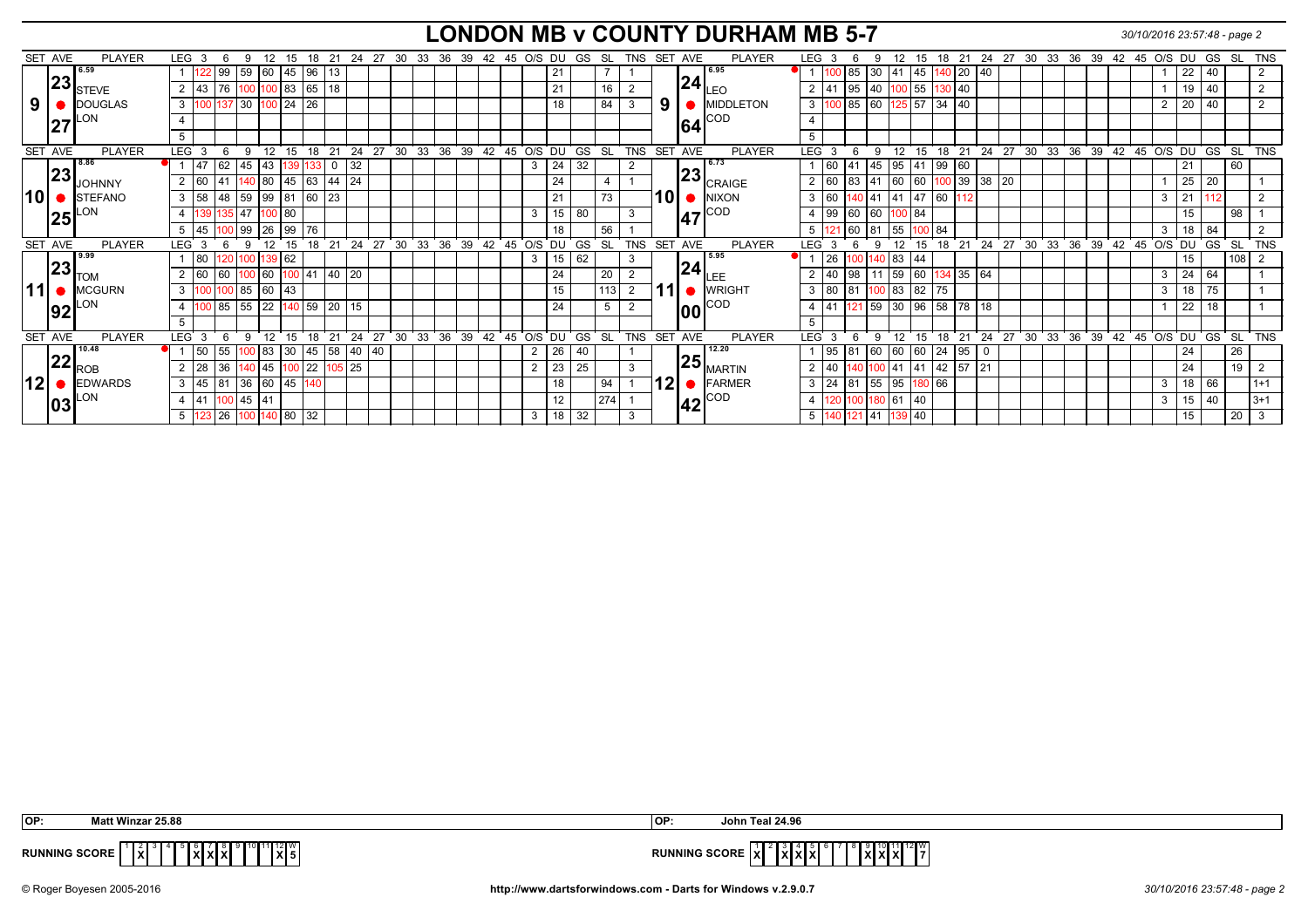## **LONDON MB v COUNTY DURHAM MB 5-7** *30/10/2016 23:57:48 - page 2*

|       | SET AVE | <b>PLAYER</b>       | LEG <sub>3</sub>     |                      | q        | 12               |                   | 18     | -21          | 24 | 27              | 30<br>33              | 36 | 39 |               | 42 45 O/S DU |                |           | GS         | SL        | TNS            | SET AVE |     |                                   | <b>PLAYER</b>                     | LEG              |                                  | 6           |                  |          | 18<br>15   | 21                                | 24 | 27          | 30              | 33                    | 36<br>39 |          | 42 45 O/S DU |        | GS        | -SL             | TNS          |
|-------|---------|---------------------|----------------------|----------------------|----------|------------------|-------------------|--------|--------------|----|-----------------|-----------------------|----|----|---------------|--------------|----------------|-----------|------------|-----------|----------------|---------|-----|-----------------------------------|-----------------------------------|------------------|----------------------------------|-------------|------------------|----------|------------|-----------------------------------|----|-------------|-----------------|-----------------------|----------|----------|--------------|--------|-----------|-----------------|--------------|
|       |         | 6.59                |                      | 122                  | 99 59    | 60               | 45 96             |        | 13           |    |                 |                       |    |    |               |              |                | 21        |            |           |                |         |     | 16.95                             |                                   |                  |                                  | 85          |                  | 41       | 45         | $ 20\rangle$                      |    |             |                 |                       |          |          |              | 22     | 40        |                 |              |
|       | 23      | <b>STEVE</b>        | 43<br>2              |                      |          | 76 100 100 83    |                   | 65     | 18           |    |                 |                       |    |    |               |              |                | 21        |            | 16        | 2              |         |     | $\mathbf{24}\vert_{\mathsf{LEO}}$ |                                   |                  | $2 \mid 41$                      | 95          |                  | 100 55   |            | $ 40\rangle$                      |    |             |                 |                       |          |          |              | 19     | 40        |                 | 2            |
| 9 I   |         | <b>DOUGLAS</b>      | $\mathbf{3}$         |                      |          | 137 30 100 24 26 |                   |        |              |    |                 |                       |    |    |               |              |                | 18        |            | 84        | $\mathbf{3}$   | 9       |     |                                   | MIDDLETON                         | $3 \mid 10$      |                                  | $\sqrt{85}$ |                  |          |            |                                   |    |             |                 |                       |          |          | 2            | 20     | 40        |                 | 2            |
|       |         | ON.                 | $\overline{4}$       |                      |          |                  |                   |        |              |    |                 |                       |    |    |               |              |                |           |            |           |                |         | 64  | ∥COD                              |                                   |                  |                                  |             |                  |          |            |                                   |    |             |                 |                       |          |          |              |        |           |                 |              |
|       |         |                     | 5                    |                      |          |                  |                   |        |              |    |                 |                       |    |    |               |              |                |           |            |           |                |         |     |                                   |                                   | 5                |                                  |             |                  |          |            |                                   |    |             |                 |                       |          |          |              |        |           |                 |              |
|       | SET AVE | <b>PLAYER</b>       | LEG <sup>®</sup>     |                      | $\alpha$ | 12               |                   | 18     | 21           | 24 | $\overline{27}$ | 33<br>30 <sup>°</sup> | 36 | 39 | $42 \quad 45$ |              | O/S DU         |           | ์ GS       | SL        | <b>TNS</b>     | SET AVE |     |                                   | <b>PLAYER</b>                     | <b>LEG</b>       |                                  | 6           |                  | 12       | 15         | ່ 18 ່ 21                         |    | $24$ 27     | ່ 30            | $\overline{33}$<br>36 | 39       | 42       | $45$ O/S DU  |        | GS        | <b>SL</b>       | TNS          |
|       |         | 8.86                | 47                   | 62                   | 45       | 43               |                   | 33     |              | 32 |                 |                       |    |    |               |              | 3              | 24        | 32         |           | 2              |         |     | 6.73                              |                                   |                  | 60                               | l 41        | 45               | 95       | 99<br>41   | 60                                |    |             |                 |                       |          |          |              | 21     |           | 60              |              |
|       | 23      | <b>JOHNNY</b>       | 60<br>$\overline{2}$ |                      |          | D 80             | 45                | 63     | 44           | 24 |                 |                       |    |    |               |              |                | 24        |            |           |                |         |     |                                   | $\left 23\right _{\text{CRAIGE}}$ |                  | 2 60                             | 83          |                  | 60<br>60 |            | $\begin{array}{c} 39 \end{array}$ |    | 38 20       |                 |                       |          |          |              | 25     | 20        |                 |              |
| ، ∣10 |         | <b>STEFANO</b>      | $3 \mid 58$          |                      | 48 59    | $ 99\rangle$     | 81                | 60     | 23           |    |                 |                       |    |    |               |              |                | 21        |            | 73        |                | 10l d   |     |                                   | NIXON                             |                  | 3 60                             | 140 41      |                  | 41       | 47 60      | 12                                |    |             |                 |                       |          |          | 3            | 21     | 112       |                 | 2            |
|       | 25      |                     | $\overline{4}$       |                      | 35   47  | 100 80           |                   |        |              |    |                 |                       |    |    |               |              | 3              | 15        | 80         |           | 3              |         | 47  | ICOD                              |                                   |                  | 4 99                             | 60          | 60               | 84       |            |                                   |    |             |                 |                       |          |          |              | 15     |           | 98              |              |
|       |         |                     | 45<br>5              |                      | 00 99    | $ 26\rangle$     | 99                | 76     |              |    |                 |                       |    |    |               |              |                | 18        |            | 56        |                |         |     |                                   |                                   | 5 <sup>1</sup>   |                                  | 60          | <b>181</b>       |          | 55 100 84  |                                   |    |             |                 |                       |          |          | 3            |        | 84        |                 |              |
|       | SET AVE | PLAYER              | LEG <sup>®</sup>     |                      |          |                  |                   | 18     | 21           | 24 | 27              | 30<br>33              | 36 | 39 | 42            | 45           | O/S            | `DU       | GS         | <b>SL</b> | <b>TNS</b>     | SET AVE |     |                                   | <b>PLAYER</b>                     | LEG <sup>®</sup> |                                  |             |                  |          |            | 21                                | 24 | $\sqrt{27}$ | ີ 30            | 33<br>36              | 39       | 42<br>45 |              | O/S DU | <b>GS</b> | -SL             | TNS          |
|       |         | 9.99                | 80                   |                      |          |                  | 39 62             |        |              |    |                 |                       |    |    |               |              | 3              | 15        | 62         |           | 3              |         |     | 5.95                              |                                   |                  | 26                               |             | 40 83            | 44       |            |                                   |    |             |                 |                       |          |          |              | 15     |           | 108             | 2            |
|       |         | $ 23 _{\text{TOM}}$ | 60<br>$\overline{2}$ |                      |          | 160              |                   | 00 41  | 40 20        |    |                 |                       |    |    |               |              |                | 24        |            | 20        | 2              |         |     | $ 24 $ Lee                        |                                   |                  | 2 40                             | 98          |                  | 60<br>59 |            | 34 35 64                          |    |             |                 |                       |          |          | 3            | 24     | 64        |                 |              |
|       |         | <b>MCGURN</b>       | 3                    |                      |          | 00 85 60 43      |                   |        |              |    |                 |                       |    |    |               |              |                | 15        |            | 113       | $\overline{2}$ |         |     |                                   | <b>WRIGHT</b>                     |                  | 3 80                             | 81          | 100 83 82        |          | <b>175</b> |                                   |    |             |                 |                       |          |          | 3            | 18     | 75        |                 |              |
|       | 92      | ON.                 | $\overline{4}$       |                      | 85 55    | 22               |                   | 40 59  | $ 20\rangle$ | 15 |                 |                       |    |    |               |              |                | 24        |            | 5         | 2              |         | 100 | ∥COD                              |                                   |                  |                                  | 121         | 59 30            |          | 96<br>58   | 78                                | 18 |             |                 |                       |          |          |              | 22     | 18        |                 |              |
|       |         |                     | 5                    |                      |          |                  |                   |        |              |    |                 |                       |    |    |               |              |                |           |            |           |                |         |     |                                   |                                   | 5                |                                  |             |                  |          |            |                                   |    |             |                 |                       |          |          |              |        |           |                 |              |
|       | SET AVE | PLAYER              | $LEG \ 3$            |                      | $\Omega$ | 12               |                   | 18     | 21           | 24 | 27              | 33<br>30              | 36 | 39 | 42            | 45           | O/S            | <b>DU</b> | GS         | SL        | TNS            | SET AVE |     |                                   | <b>PLAYER</b>                     | LEG <sup>T</sup> |                                  |             |                  | 12       | 18         | 21                                | 24 | 27          | 30 <sup>°</sup> | 33<br>36              | 39       | 42       | 45 O/S DU    |        | GS        | <b>SL</b>       | TNS          |
|       |         | 10.48               | 50                   | 55                   |          | 83               | 30                | 45     | 58           | 40 | 40              |                       |    |    |               |              | $\overline{2}$ | 26        | 40         |           |                |         |     | 12.20                             |                                   |                  | 95                               |             | 60               | 60<br>60 | 24         | 95                                |    |             |                 |                       |          |          |              | 24     |           | 26              |              |
|       | 22      | <b>ROB</b>          | 28<br>$\overline{2}$ | 36                   |          | 45               |                   | 100 22 | $105$ 25     |    |                 |                       |    |    |               |              | 2              | 23        | 25         |           | 3              |         |     |                                   | $\bm{25}$ MARTIN                  |                  | $2 \mid 40$                      | 140 I1      | 100 41           | 41       | 42         | $\sqrt{57}$                       | 21 |             |                 |                       |          |          |              | 24     |           | 19              | 2            |
|       |         | <b>EDWARDS</b>      | 3 45                 |                      |          | 81 36 60         | $.145$ $^{\circ}$ | 140    |              |    |                 |                       |    |    |               |              |                | 18        |            | 94        |                | 12I e   |     |                                   | $\bullet$ FARMER                  |                  | $3 \mid 24$                      | 81          | 55 95 180 66     |          |            |                                   |    |             |                 |                       |          |          | 3            |        | 66        |                 | $1+1$        |
|       | 103     | ON.                 | $4 \mid 41$          |                      |          | $100$ 45 41      |                   |        |              |    |                 |                       |    |    |               |              |                | 12        |            | 274       |                |         | 42  | ∥COD                              |                                   |                  |                                  |             | 4 120 100 180 61 | 40       |            |                                   |    |             |                 |                       |          |          | 3            | 15     | 40        |                 | l 3+1        |
|       |         |                     | $5^{\circ}$          | 123 26 100 140 80 32 |          |                  |                   |        |              |    |                 |                       |    |    |               |              | 3              | 18        | $\vert$ 32 |           | 3              |         |     |                                   |                                   |                  | $5 \vert 140 \vert 121 \vert 41$ |             |                  | 139 40   |            |                                   |    |             |                 |                       |          |          |              | 15     |           | 20 <sup>1</sup> | $\mathbf{3}$ |

| OP:                                                                                                      | John Teal 24.96                                                                                             |
|----------------------------------------------------------------------------------------------------------|-------------------------------------------------------------------------------------------------------------|
| Matt Winzar 25.88                                                                                        | <b>IOP</b>                                                                                                  |
| $^{\circ}$ 11112 $\cdot$<br><b>RUNNING SCORE</b><br>$\mathbf{I} \mathbf{v}$<br> X X X <br>IXI 5<br>1 A I | 11 12 W<br><br>.<br>vivi<br>l v l v l v l<br>. .<br><b>RUNNING SCORE</b><br><u>iaiaia</u> i<br>$\mathbf{A}$ |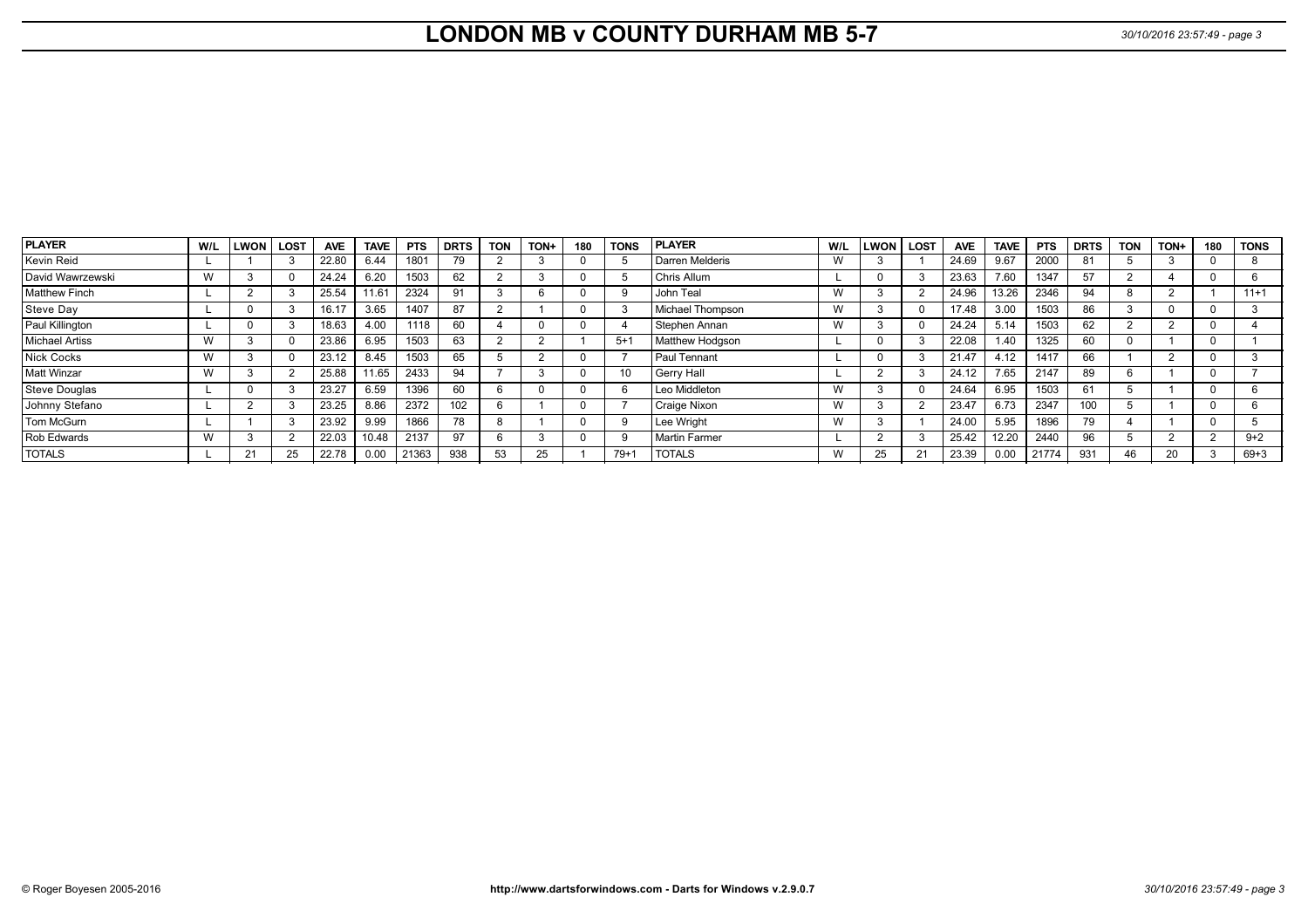# **LONDON MB v COUNTY DURHAM MB 5-7** *30/10/2016 23:57:49 - page 3*

| <b>PLAYER</b>         | W/L | <b>LWON</b> | <b>LOST</b> | <b>AVE</b> | <b>TAVE</b> | <b>PTS</b> | <b>DRTS</b> | <b>TON</b> | TON+ | 180 | <b>TONS</b> | <b>PLAYER</b>    | W/L | <b>LWON</b> | <b>LOST</b> | <b>AVE</b> | <b>TAVE</b> | <b>PTS</b> | <b>DRTS</b> | <b>TON</b> | TON+ | 180 | <b>TONS</b> |
|-----------------------|-----|-------------|-------------|------------|-------------|------------|-------------|------------|------|-----|-------------|------------------|-----|-------------|-------------|------------|-------------|------------|-------------|------------|------|-----|-------------|
| Kevin Reid            |     |             |             | 22.80      | 6.44        | 1801       |             |            |      |     |             | Darren Melderis  | W   |             |             | 24.69      | 9.67        | 2000       | 81          |            |      |     |             |
| David Wawrzewski      | w   |             |             | 24.24      | 6.20        | 1503       | 62          |            |      |     |             | Chris Allum      |     |             |             | 23.63      | 7.60        | 1347       | 57          |            |      |     |             |
| <b>Matthew Finch</b>  |     |             |             | 25.54      | 11.61       | 2324       | 91          |            |      |     |             | John Teal        | W   |             |             | 24.96      | 13.26       | 2346       | 94          |            |      |     | $11+1$      |
| Steve Day             |     |             |             | 16.17      | 3.65        | 1407       | 87          |            |      |     |             | Michael Thompson | W   |             |             | 17.48      | 3.00        | 1503       | 86          |            |      |     |             |
| Paul Killington       |     |             |             | 18.63      | 4.00        | 1118       | 60          |            |      |     |             | Stephen Annan    | W   |             |             | 24.24      | 5.14        | 1503       | 62          |            |      |     |             |
| <b>Michael Artiss</b> | w   |             |             | 23.86      | 6.95        | 1503       | 63          |            |      |     | $5+$        | Matthew Hodgson  |     |             | - 5         | 22.08      | 1.40        | 1325       | 60          |            |      |     |             |
| <b>Nick Cocks</b>     | W   |             |             | 23.12      | 8.45        | 1503       | 65          |            |      |     |             | Paul Tennant     |     |             | -3          | 21.47      | 4.12        | 1417       | 66          |            |      |     |             |
| Matt Winzar           | w   |             |             | 25.88      | 11.65       | 2433       | 94          |            |      |     |             | Gerry Hall       |     |             | - 3         | 24.12      | 7.65        | 2147       | 89          |            |      |     |             |
| Steve Douglas         |     |             |             | 23.27      | 6.59        | 1396       | 60          |            |      |     |             | Leo Middleton    | W   |             |             | 24.64      | 6.95        | 1503       | 61          |            |      |     |             |
| Johnny Stefano        |     |             |             | 23.25      | 8.86        | 2372       | 102         |            |      |     |             | Craige Nixon     | W   |             |             | 23.47      | 6.73        | 2347       | 100         |            |      |     |             |
| Tom McGurn            |     |             |             | 23.92      | 9.99        | 1866       | 78          |            |      |     |             | Lee Wright       | W   |             |             | 24.00      | 5.95        | 1896       | 79          |            |      |     |             |
| Rob Edwards           | W   |             |             | 22.03      | 10.48       | 2137       | 97          |            |      |     |             | Martin Farmer    |     |             |             | 25.42      | 12.20       | 2440       | 96          |            |      |     | $9 + 2$     |
| <b>TOTALS</b>         |     | 21          |             | 22.78      | 0.00        | 21363      | 938         | 53         |      |     | $79+$       | <b>TOTALS</b>    | W   | 25          | 21          | 23.39      | 0.00        | 21774      | 931         |            | 20   |     | $69 + 3$    |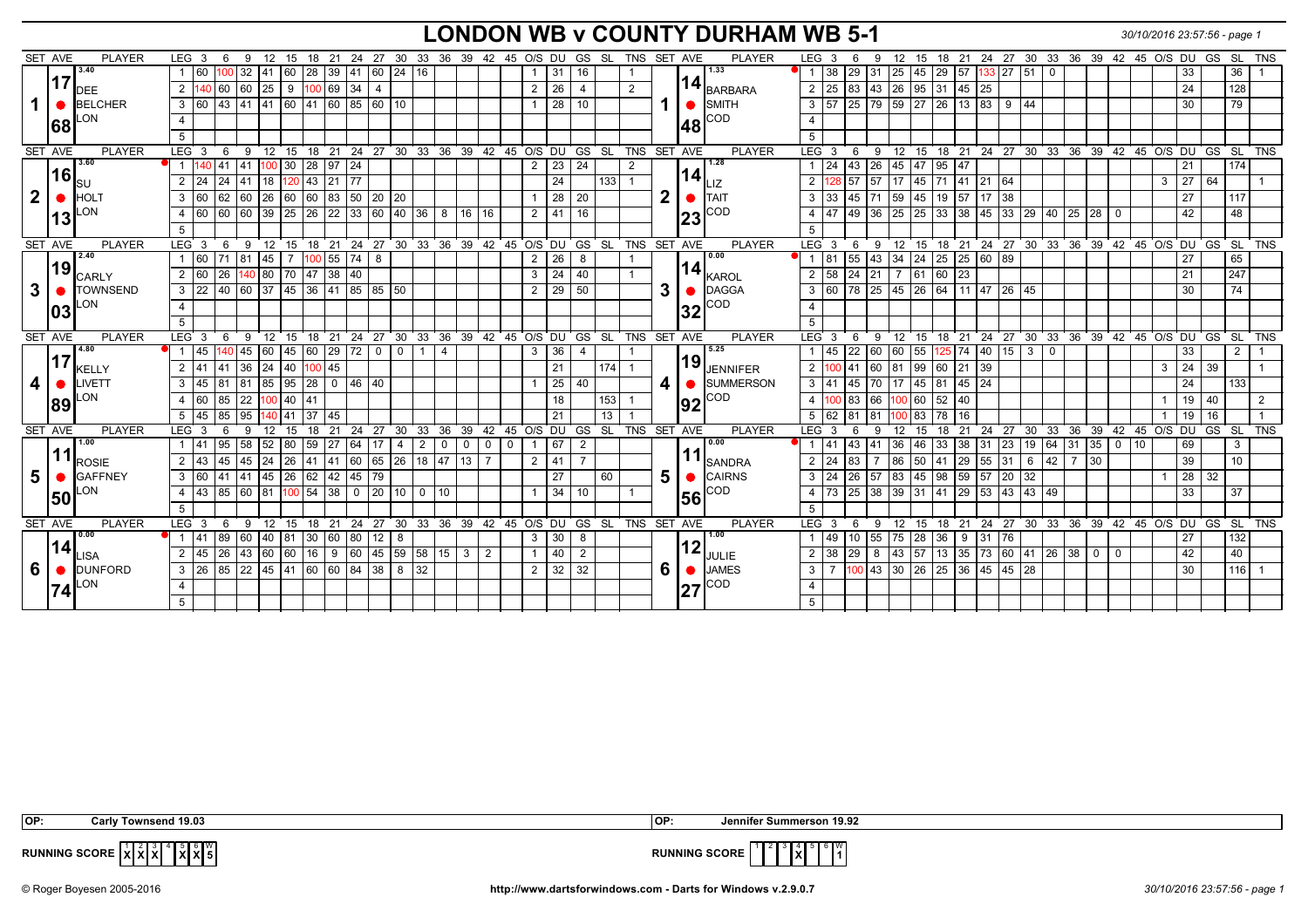## **LONDON WB v COUNTY DURHAM WB 5-1** *30/10/2016 23:57:56 - page 1*

|              | SET AVE | <b>PLAYER</b>   | LEG 3<br>6                                   | -9                                                                                     | 12 15 18 21 24 27 30 33 36 39 42 45 O/S DU GS SL TNS SET AVE |              |                         |                                                                |                |                |         |                |                 |                |   |              |     | <b>PLAYER</b>           | LEG 3               | 6                               | 9                                |                 |                                 |              |                    |               |              |            | 12 15 18 21 24 27 30 33 36 39 42 45 O/S DU GS SL TNS   |       |                    |                 |     |
|--------------|---------|-----------------|----------------------------------------------|----------------------------------------------------------------------------------------|--------------------------------------------------------------|--------------|-------------------------|----------------------------------------------------------------|----------------|----------------|---------|----------------|-----------------|----------------|---|--------------|-----|-------------------------|---------------------|---------------------------------|----------------------------------|-----------------|---------------------------------|--------------|--------------------|---------------|--------------|------------|--------------------------------------------------------|-------|--------------------|-----------------|-----|
|              |         | 3.40            | 160                                          | 32<br>141                                                                              | 60 28 39 41 60 24 16                                         |              |                         |                                                                |                |                |         |                | -31             | 16             |   |              |     | 1.33                    | 38                  | $ 29\rangle$                    | 31                               |                 |                                 |              | $133$ 27 51 0      |               |              |            |                                                        | 33    |                    | 36              |     |
|              | 17      | <b>DEE</b>      | 2 140 60 60 25 9 100 69 34                   |                                                                                        |                                                              |              | $\overline{4}$          |                                                                |                |                |         | $\overline{2}$ | 26              | $\overline{4}$ | 2 |              |     | 14<br>BARBARA           |                     | 2 25 83 43 26 95 31 45 25       |                                  |                 |                                 |              |                    |               |              |            |                                                        | 24    |                    | 128             |     |
|              |         | <b>BELCHER</b>  | 3 60 43 41 41 60 41 60 85 60 10              |                                                                                        |                                                              |              |                         |                                                                |                |                |         |                | $\overline{28}$ | 10             |   |              |     | $\bullet$ SMITH         |                     | 3 57 25 79 59 27 26 13 83 9 44  |                                  |                 |                                 |              |                    |               |              |            |                                                        | 30    |                    | 79              |     |
|              |         | .ON             | $\overline{4}$                               |                                                                                        |                                                              |              |                         |                                                                |                |                |         |                |                 |                |   |              |     | <b>COD</b>              | $\overline{4}$      |                                 |                                  |                 |                                 |              |                    |               |              |            |                                                        |       |                    |                 |     |
|              | 68      |                 | 5                                            |                                                                                        |                                                              |              |                         |                                                                |                |                |         |                |                 |                |   |              | l48 |                         | -5                  |                                 |                                  |                 |                                 |              |                    |               |              |            |                                                        |       |                    |                 |     |
|              | SET AVE | <b>PLAYER</b>   | LEG 3<br>6                                   | 9 12 15 18 21 24 27 30 33 36 39 42 45 O/S DU GS SL TNS SET AVE                         |                                                              |              |                         |                                                                |                |                |         |                |                 |                |   |              |     | <b>PLAYER</b>           | $LEG$ 3             | ່ 6                             | ່ 9                              |                 |                                 |              |                    |               |              |            | $12$ 15 18 21 24 27 30 33 36 39 42 45 O/S DU GS SL TNS |       |                    |                 |     |
|              |         | 3.60            | 1 140 41 41                                  |                                                                                        | $100$ 30 28 97 24                                            |              |                         |                                                                |                |                |         | $\overline{2}$ | $\overline{23}$ | 24             | 2 |              |     | 1.28                    | $1 \overline{24}$   | $ 43\rangle$                    | 26 45 47                         |                 | $95 \mid 47$                    |              |                    |               |              |            |                                                        | 21    |                    | 174             |     |
|              | 16      | <b>SU</b>       | 24 <br>2<br>24                               | 41<br>18                                                                               | 120 43 21 77                                                 |              |                         |                                                                |                |                |         |                | 24              | 133            |   |              | 14  | Illz                    | $\overline{2}$      | 128 57                          | 17<br>57                         | 45              | $\sqrt{71}$ 41 21 64            |              |                    |               |              |            | 3                                                      | 27 64 |                    |                 |     |
| $\mathbf{2}$ |         | <b>HOLT</b>     | 62 60<br>3<br>$\sqrt{60}$                    | $ 26\rangle$                                                                           | 60 60 83 50 20 20                                            |              |                         |                                                                |                |                |         |                | 28              | 20             |   | $\mathbf{2}$ |     | $\bullet$ <b>I</b> TAIT | 33<br>$\mathbf{3}$  | 45                              | 71                               | 59 45           | $19$ 57 $\overline{17}$ 38      |              |                    |               |              |            |                                                        | 27    |                    | 117             |     |
|              |         | LON             | 160                                          |                                                                                        |                                                              |              |                         |                                                                |                |                |         |                |                 |                |   |              |     | <b>COD</b>              |                     | 49                              |                                  |                 |                                 |              |                    |               |              |            |                                                        |       |                    |                 |     |
|              | 13      |                 | 60 60<br>$\overline{4}$                      | $\sqrt{39}$                                                                            | 25 26 22 33 60 40 36                                         |              |                         |                                                                | 8              | 16<br>16       |         | 2              | 41              | 16             |   |              | 23  |                         | 47                  |                                 | 36                               | 25 25           | $33 \mid 38$                    |              | 45 33 29           |               |              | 40 25 28 0 |                                                        | 42    |                    | 48              |     |
|              |         |                 | 5                                            |                                                                                        |                                                              |              |                         |                                                                |                |                |         |                |                 |                |   |              |     |                         | 5                   |                                 |                                  |                 |                                 |              |                    |               |              |            |                                                        |       |                    |                 |     |
|              | SET AVE | PLAYER<br>2.40  | LEG 3<br>- 6<br>160<br>71 81<br>$\mathbf{1}$ | 9 12 15 18 21 24 27 30 33 36 39 42 45 O/S DU GS SL TNS SET AVE<br>45<br>$\overline{7}$ | 100 55 74                                                    |              |                         |                                                                |                |                |         |                | 26              |                |   |              |     | <b>PLAYER</b><br>0.00   | $LEG$ 3<br>1 81     | -6<br>55                        | -9<br>34<br>43                   | 24              | $25 \ 25 \ 60 \ 89$             |              |                    |               |              |            | 12 15 18 21 24 27 30 33 36 39 42 45 O/S DU GS SL TNS   | 27    |                    | 65              |     |
|              | 19      |                 | 2 60                                         |                                                                                        |                                                              |              | 8                       |                                                                |                |                |         | $\overline{2}$ | $\overline{24}$ | 8              |   |              |     | 14                      | $2 \overline{58}$   | $\overline{24}$                 |                                  |                 |                                 |              |                    |               |              |            |                                                        |       |                    | 247             |     |
|              |         | CARLY           | 26                                           | 140 80 70 47 38 40                                                                     |                                                              |              |                         |                                                                |                |                |         | 3              |                 | 40             |   |              |     | <b>I</b> KAROL          |                     |                                 | 21                               |                 | 7 61 60 23                      |              |                    |               |              |            |                                                        | 21    |                    |                 |     |
| 3            |         | <b>TOWNSEND</b> | 3 22                                         | 40 60 37 45 36 41 85 85 50                                                             |                                                              |              |                         |                                                                |                |                |         | 2              | 29              | 50             |   | 3            |     | DAGGA                   |                     | 3 60 78 25 45 26 64 11 47 26 45 |                                  |                 |                                 |              |                    |               |              |            |                                                        | 30    |                    | 74              |     |
|              | 103     | ON.             | $\overline{4}$                               |                                                                                        |                                                              |              |                         |                                                                |                |                |         |                |                 |                |   |              | 32  | COD                     |                     |                                 |                                  |                 |                                 |              |                    |               |              |            |                                                        |       |                    |                 |     |
|              |         |                 | 5                                            |                                                                                        |                                                              |              |                         |                                                                |                |                |         |                |                 |                |   |              |     |                         | 5                   |                                 |                                  |                 |                                 |              |                    |               |              |            |                                                        |       |                    |                 |     |
|              | SET AVE | PLAYER<br>4.80  | LEG 3                                        | 6 9 12 15 18 21 24 27 30 33 36 39 42 45 O/S DU GS SL TNS SET AVE                       |                                                              |              |                         |                                                                |                |                |         |                |                 |                |   |              |     | <b>PLAYER</b><br>5.25   | LEG <sub>3</sub>    | 6                               |                                  |                 |                                 |              |                    |               |              |            | 9 12 15 18 21 24 27 30 33 36 39 42 45 O/S DU GS SL TNS |       |                    |                 |     |
|              | 17      |                 | $ 45\rangle$                                 | 140   45   60                                                                          | 45 60 29 72                                                  |              | $\mathbf 0$<br>$\Omega$ | 1                                                              | $\overline{4}$ |                |         | 3              | 36              | $\overline{4}$ |   |              | 19  |                         | 45                  | $\overline{22}$                 | 60  60                           | 55              |                                 |              | $125$ 74 40 15 3 0 |               |              |            |                                                        | 33    |                    | $\overline{2}$  |     |
|              |         | <b>KELLY</b>    | 2 41 41 36 24                                |                                                                                        | 40 100 45                                                    |              |                         |                                                                |                |                |         |                | 21              | 174            |   |              |     | <b>JENNIFER</b>         | $2 \t100 \t41$      |                                 | 60 81 99 60 21 39                |                 |                                 |              |                    |               |              |            | 3                                                      |       | $24 \overline{39}$ |                 |     |
| 4            |         | LIVETT          | $3 \mid 45$<br>81 81                         |                                                                                        | $85$ 95 28 0 46 40                                           |              |                         |                                                                |                |                |         |                | 25              | 40             |   | 4 I          |     | SUMMERSON               | $3 \mid 41$         | 45                              | 70 17 45 81 45 24                |                 |                                 |              |                    |               |              |            |                                                        | 24    |                    | 133             |     |
|              | 189     | .ON             | $\overline{60}$<br>85<br>$\overline{4}$      | 100 40 41<br>$\overline{22}$                                                           |                                                              |              |                         |                                                                |                |                |         |                | 18              | 153            |   |              | 192 | COD                     | $\overline{4}$      | $100$ 83                        | 66 100 60                        |                 | $\overline{52}$<br>$ 40\rangle$ |              |                    |               |              |            |                                                        |       | 19 40              |                 | 2   |
|              |         |                 | 85<br>145<br>5                               | 95<br>41<br>140.                                                                       | 37 45                                                        |              |                         |                                                                |                |                |         |                | 21              | 13             |   |              |     |                         | 5 62                | 81                              |                                  | 100 83          | 78<br>16                        |              |                    |               |              |            |                                                        | 19    | 16                 |                 |     |
|              | SET AVE | <b>PLAYER</b>   | $LEG_3$<br>6                                 | 9<br>12<br>15                                                                          | 18<br>21                                                     | 24           |                         | 27 30 33 36 39 42 45 O/S DU GS SL TNS SET AVE                  |                |                |         |                |                 |                |   |              |     | PLAYER                  | LEG <sub>3</sub>    | 6                               | 12<br>-9                         | 15              | 18                              | $21$ 24 27   |                    |               |              |            | 30 33 36 39 42 45 O/S DU GS SL                         |       |                    |                 | TNS |
|              |         | 1.00            | 95 58<br>1 41 1                              |                                                                                        | $52 \ 80 \ 59 \ 27 \ 64$                                     |              | 17<br>$\overline{4}$    | 2 0                                                            |                | $\overline{0}$ | $0$ $0$ | $\overline{1}$ | 67              | 2              |   |              |     | 0.00                    | $1 \mid 41$         |                                 | 43 41 36 46 33 38 31 23          |                 |                                 |              |                    | 19 64 31 35 0 |              |            | 10 <sup>10</sup>                                       | 69    |                    | $\mathbf{3}$    |     |
|              |         | <b>ROSIE</b>    | 2 43<br>45                                   | 45<br>l 24                                                                             | 26 41 41 60 65 26 18 47 13                                   |              |                         |                                                                |                |                |         | $\overline{2}$ | 41              | $\overline{7}$ |   |              |     | <b>I</b> SANDRA         | $2 \mid 24$         | 83                              | 86                               | $\overline{50}$ | 41<br>$ 29\rangle$              |              | $55 \mid 31$       | 42<br>6       | $7 \vert 30$ |            |                                                        | 39    |                    | 10 <sup>1</sup> |     |
| 5            |         | <b>GAFFNEY</b>  | 3 60                                         | 41 41 45 26 62 42 45 79                                                                |                                                              |              |                         |                                                                |                |                |         |                | 27              | 60             |   | 5.           |     | CAIRNS                  | $3 \mid 24$         | 26                              | 57                               |                 | 83 45 98 59 57 20               |              |                    | 32            |              |            |                                                        |       | 28 32              |                 |     |
|              | 50      | ON.             | $4 \mid 43$                                  | 85 60 81                                                                               | $100$ 54 38 0                                                |              |                         | 20 10 0 10                                                     |                |                |         |                | $\overline{34}$ | 10             |   |              | 56  | COD                     | $4 \overline{73}$   | 25                              | 38 39 31 41 29 53 43 43 49       |                 |                                 |              |                    |               |              |            |                                                        | 33    |                    | 37              |     |
|              |         |                 | 5                                            |                                                                                        |                                                              |              |                         |                                                                |                |                |         |                |                 |                |   |              |     |                         | -5                  |                                 |                                  |                 |                                 |              |                    |               |              |            |                                                        |       |                    |                 |     |
|              | SET AVE | <b>PLAYER</b>   | $LEG$ 3<br>6                                 | 9 12 15 18 21                                                                          |                                                              |              |                         | 24  27  30  33  36  39  42  45  O/S  DU  GS  SL  TNS  SET  AVE |                |                |         |                |                 |                |   |              |     | PLAYER                  | LEG <sub>3</sub>    | - 6                             |                                  |                 |                                 |              |                    |               |              |            | 9 12 15 18 21 24 27 30 33 36 39 42 45 O/S DU GS SL TNS |       |                    |                 |     |
|              |         | 0.00            | 41<br>89 60                                  | 811<br>$ 40\rangle$                                                                    | 30 60                                                        | $ 80\rangle$ | 12<br>8                 |                                                                |                |                |         | 3              | 30              | 8              |   |              |     | 1.00                    | 49                  | 110                             | 55 75 28 36                      |                 | 9                               | $31 \mid 76$ |                    |               |              |            |                                                        | 27    |                    | 132             |     |
|              |         |                 | $ 45\rangle$<br>2                            | 26 43 60 60 16 9 60 45 59 58 15 3                                                      |                                                              |              |                         |                                                                |                | 2              |         |                | 40              | $\overline{2}$ |   |              | 12  | JULIE                   | $2 \mid 38 \mid 29$ |                                 | 8 43 57 13 35 73 60 41 26 38 0 0 |                 |                                 |              |                    |               |              |            |                                                        |       |                    | 40              |     |
|              | 14      | <b>ISA</b>      |                                              |                                                                                        |                                                              |              |                         |                                                                |                |                |         |                |                 |                |   |              |     |                         |                     |                                 |                                  |                 |                                 |              |                    |               |              |            |                                                        | 42    |                    |                 |     |
| 6            |         | <b>DUNFORD</b>  | $3 \mid 26$                                  | 85 22 45 41 60 60 84 38 8 32                                                           |                                                              |              |                         |                                                                |                |                |         | 2              | 32              | 32             |   | 6.           |     | <b>JAMES</b>            | $\mathbf{3}$        |                                 | $100$ 43 30 26 25 36 45 45 28    |                 |                                 |              |                    |               |              |            |                                                        | 30    |                    | 116             |     |
|              | 74      | LON             |                                              |                                                                                        |                                                              |              |                         |                                                                |                |                |         |                |                 |                |   |              | 27  | ICOD                    | $\overline{4}$      |                                 |                                  |                 |                                 |              |                    |               |              |            |                                                        |       |                    |                 |     |

| IOP:                                                                                                    | isend 19.03<br>Carlv<br>u own:                       | l OP                 | ummerson 19.92 |
|---------------------------------------------------------------------------------------------------------|------------------------------------------------------|----------------------|----------------|
| <b>RUNNING SCORE</b><br>the contract of the contract of the contract of the contract of the contract of | $\blacksquare$ b $\blacksquare$ W<br>IXIXIOI<br>1011 | <b>RUNNING SCORE</b> | . 6 IW.<br>IXI |